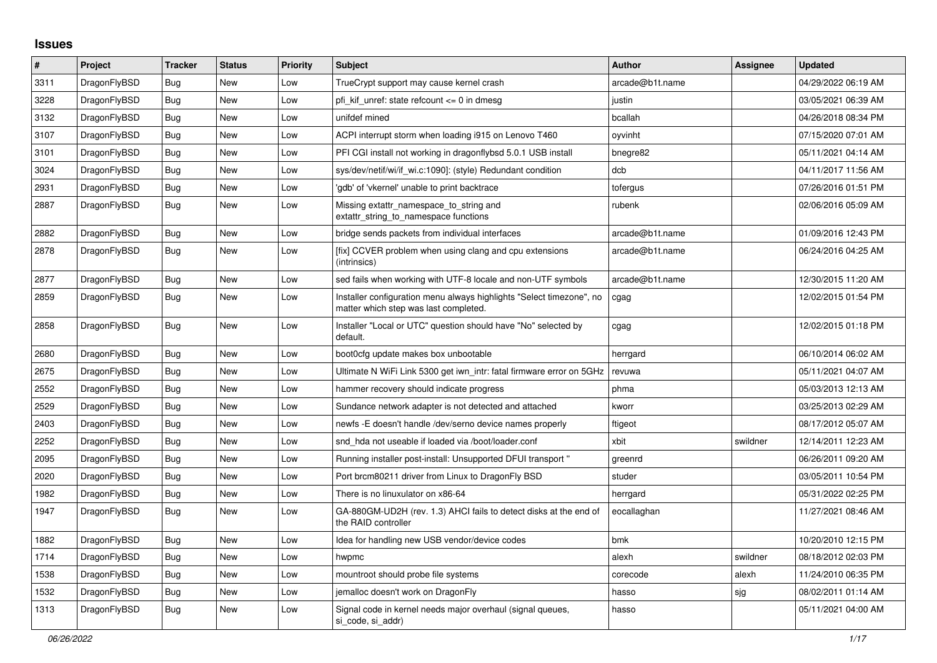## **Issues**

| #    | Project      | <b>Tracker</b> | <b>Status</b> | <b>Priority</b> | <b>Subject</b>                                                                                                | <b>Author</b>   | Assignee | <b>Updated</b>      |
|------|--------------|----------------|---------------|-----------------|---------------------------------------------------------------------------------------------------------------|-----------------|----------|---------------------|
| 3311 | DragonFlyBSD | <b>Bug</b>     | <b>New</b>    | Low             | TrueCrypt support may cause kernel crash                                                                      | arcade@b1t.name |          | 04/29/2022 06:19 AM |
| 3228 | DragonFlyBSD | Bug            | <b>New</b>    | Low             | pfi kif unref: state refcount $\leq$ 0 in dmesg                                                               | justin          |          | 03/05/2021 06:39 AM |
| 3132 | DragonFlyBSD | <b>Bug</b>     | <b>New</b>    | Low             | unifdef mined                                                                                                 | bcallah         |          | 04/26/2018 08:34 PM |
| 3107 | DragonFlyBSD | Bug            | <b>New</b>    | Low             | ACPI interrupt storm when loading i915 on Lenovo T460                                                         | oyvinht         |          | 07/15/2020 07:01 AM |
| 3101 | DragonFlyBSD | <b>Bug</b>     | <b>New</b>    | Low             | PFI CGI install not working in dragonflybsd 5.0.1 USB install                                                 | bnegre82        |          | 05/11/2021 04:14 AM |
| 3024 | DragonFlyBSD | <b>Bug</b>     | <b>New</b>    | Low             | sys/dev/netif/wi/if_wi.c:1090]: (style) Redundant condition                                                   | dcb             |          | 04/11/2017 11:56 AM |
| 2931 | DragonFlyBSD | Bug            | <b>New</b>    | Low             | 'gdb' of 'vkernel' unable to print backtrace                                                                  | tofergus        |          | 07/26/2016 01:51 PM |
| 2887 | DragonFlyBSD | Bug            | New           | Low             | Missing extattr_namespace_to_string and<br>extattr string to namespace functions                              | rubenk          |          | 02/06/2016 05:09 AM |
| 2882 | DragonFlyBSD | Bug            | <b>New</b>    | Low             | bridge sends packets from individual interfaces                                                               | arcade@b1t.name |          | 01/09/2016 12:43 PM |
| 2878 | DragonFlyBSD | <b>Bug</b>     | New           | Low             | [fix] CCVER problem when using clang and cpu extensions<br>(intrinsics)                                       | arcade@b1t.name |          | 06/24/2016 04:25 AM |
| 2877 | DragonFlyBSD | Bug            | <b>New</b>    | Low             | sed fails when working with UTF-8 locale and non-UTF symbols                                                  | arcade@b1t.name |          | 12/30/2015 11:20 AM |
| 2859 | DragonFlyBSD | Bug            | New           | Low             | Installer configuration menu always highlights "Select timezone", no<br>matter which step was last completed. | cgag            |          | 12/02/2015 01:54 PM |
| 2858 | DragonFlyBSD | <b>Bug</b>     | <b>New</b>    | Low             | Installer "Local or UTC" question should have "No" selected by<br>default.                                    | cgag            |          | 12/02/2015 01:18 PM |
| 2680 | DragonFlyBSD | <b>Bug</b>     | <b>New</b>    | Low             | boot0cfg update makes box unbootable                                                                          | herrgard        |          | 06/10/2014 06:02 AM |
| 2675 | DragonFlyBSD | Bug            | <b>New</b>    | Low             | Ultimate N WiFi Link 5300 get iwn intr: fatal firmware error on 5GHz                                          | revuwa          |          | 05/11/2021 04:07 AM |
| 2552 | DragonFlyBSD | Bug            | <b>New</b>    | Low             | hammer recovery should indicate progress                                                                      | phma            |          | 05/03/2013 12:13 AM |
| 2529 | DragonFlyBSD | <b>Bug</b>     | <b>New</b>    | Low             | Sundance network adapter is not detected and attached                                                         | kworr           |          | 03/25/2013 02:29 AM |
| 2403 | DragonFlyBSD | <b>Bug</b>     | New           | Low             | newfs - E doesn't handle / dev/serno device names properly                                                    | ftigeot         |          | 08/17/2012 05:07 AM |
| 2252 | DragonFlyBSD | <b>Bug</b>     | New           | Low             | snd hda not useable if loaded via /boot/loader.conf                                                           | xbit            | swildner | 12/14/2011 12:23 AM |
| 2095 | DragonFlyBSD | Bug            | <b>New</b>    | Low             | Running installer post-install: Unsupported DFUI transport "                                                  | greenrd         |          | 06/26/2011 09:20 AM |
| 2020 | DragonFlyBSD | Bug            | <b>New</b>    | Low             | Port brcm80211 driver from Linux to DragonFly BSD                                                             | studer          |          | 03/05/2011 10:54 PM |
| 1982 | DragonFlyBSD | Bug            | <b>New</b>    | Low             | There is no linuxulator on x86-64                                                                             | herrgard        |          | 05/31/2022 02:25 PM |
| 1947 | DragonFlyBSD | <b>Bug</b>     | <b>New</b>    | Low             | GA-880GM-UD2H (rev. 1.3) AHCI fails to detect disks at the end of<br>the RAID controller                      | eocallaghan     |          | 11/27/2021 08:46 AM |
| 1882 | DragonFlyBSD | Bug            | <b>New</b>    | Low             | Idea for handling new USB vendor/device codes                                                                 | bmk             |          | 10/20/2010 12:15 PM |
| 1714 | DragonFlyBSD | Bug            | <b>New</b>    | Low             | hwpmc                                                                                                         | alexh           | swildner | 08/18/2012 02:03 PM |
| 1538 | DragonFlyBSD | Bug            | <b>New</b>    | Low             | mountroot should probe file systems                                                                           | corecode        | alexh    | 11/24/2010 06:35 PM |
| 1532 | DragonFlyBSD | Bug            | <b>New</b>    | Low             | jemalloc doesn't work on DragonFly                                                                            | hasso           | sjg      | 08/02/2011 01:14 AM |
| 1313 | DragonFlyBSD | <b>Bug</b>     | <b>New</b>    | Low             | Signal code in kernel needs major overhaul (signal queues,<br>si code, si addr)                               | hasso           |          | 05/11/2021 04:00 AM |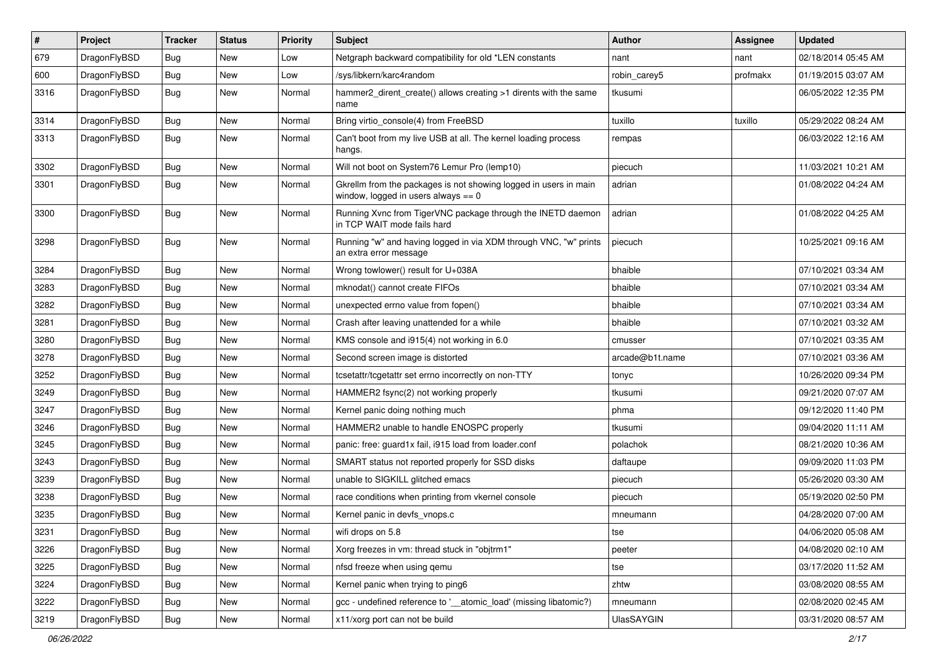| $\pmb{\#}$ | Project      | <b>Tracker</b> | <b>Status</b> | <b>Priority</b> | Subject                                                                                                   | Author          | <b>Assignee</b> | <b>Updated</b>      |
|------------|--------------|----------------|---------------|-----------------|-----------------------------------------------------------------------------------------------------------|-----------------|-----------------|---------------------|
| 679        | DragonFlyBSD | Bug            | New           | Low             | Netgraph backward compatibility for old *LEN constants                                                    | nant            | nant            | 02/18/2014 05:45 AM |
| 600        | DragonFlyBSD | Bug            | <b>New</b>    | Low             | /sys/libkern/karc4random                                                                                  | robin carey5    | profmakx        | 01/19/2015 03:07 AM |
| 3316       | DragonFlyBSD | Bug            | New           | Normal          | hammer2 dirent create() allows creating >1 dirents with the same<br>name                                  | tkusumi         |                 | 06/05/2022 12:35 PM |
| 3314       | DragonFlyBSD | Bug            | <b>New</b>    | Normal          | Bring virtio_console(4) from FreeBSD                                                                      | tuxillo         | tuxillo         | 05/29/2022 08:24 AM |
| 3313       | DragonFlyBSD | Bug            | New           | Normal          | Can't boot from my live USB at all. The kernel loading process<br>hangs.                                  | rempas          |                 | 06/03/2022 12:16 AM |
| 3302       | DragonFlyBSD | <b>Bug</b>     | <b>New</b>    | Normal          | Will not boot on System76 Lemur Pro (lemp10)                                                              | piecuch         |                 | 11/03/2021 10:21 AM |
| 3301       | DragonFlyBSD | Bug            | <b>New</b>    | Normal          | Gkrellm from the packages is not showing logged in users in main<br>window, logged in users always $== 0$ | adrian          |                 | 01/08/2022 04:24 AM |
| 3300       | DragonFlyBSD | <b>Bug</b>     | <b>New</b>    | Normal          | Running Xvnc from TigerVNC package through the INETD daemon<br>in TCP WAIT mode fails hard                | adrian          |                 | 01/08/2022 04:25 AM |
| 3298       | DragonFlyBSD | Bug            | <b>New</b>    | Normal          | Running "w" and having logged in via XDM through VNC, "w" prints<br>an extra error message                | piecuch         |                 | 10/25/2021 09:16 AM |
| 3284       | DragonFlyBSD | Bug            | <b>New</b>    | Normal          | Wrong towlower() result for U+038A                                                                        | bhaible         |                 | 07/10/2021 03:34 AM |
| 3283       | DragonFlyBSD | Bug            | <b>New</b>    | Normal          | mknodat() cannot create FIFOs                                                                             | bhaible         |                 | 07/10/2021 03:34 AM |
| 3282       | DragonFlyBSD | <b>Bug</b>     | <b>New</b>    | Normal          | unexpected errno value from fopen()                                                                       | bhaible         |                 | 07/10/2021 03:34 AM |
| 3281       | DragonFlyBSD | Bug            | New           | Normal          | Crash after leaving unattended for a while                                                                | bhaible         |                 | 07/10/2021 03:32 AM |
| 3280       | DragonFlyBSD | Bug            | New           | Normal          | KMS console and i915(4) not working in 6.0                                                                | cmusser         |                 | 07/10/2021 03:35 AM |
| 3278       | DragonFlyBSD | Bug            | New           | Normal          | Second screen image is distorted                                                                          | arcade@b1t.name |                 | 07/10/2021 03:36 AM |
| 3252       | DragonFlyBSD | Bug            | <b>New</b>    | Normal          | tcsetattr/tcgetattr set errno incorrectly on non-TTY                                                      | tonyc           |                 | 10/26/2020 09:34 PM |
| 3249       | DragonFlyBSD | <b>Bug</b>     | New           | Normal          | HAMMER2 fsync(2) not working properly                                                                     | tkusumi         |                 | 09/21/2020 07:07 AM |
| 3247       | DragonFlyBSD | Bug            | <b>New</b>    | Normal          | Kernel panic doing nothing much                                                                           | phma            |                 | 09/12/2020 11:40 PM |
| 3246       | DragonFlyBSD | Bug            | New           | Normal          | HAMMER2 unable to handle ENOSPC properly                                                                  | tkusumi         |                 | 09/04/2020 11:11 AM |
| 3245       | DragonFlyBSD | Bug            | <b>New</b>    | Normal          | panic: free: guard1x fail, i915 load from loader.conf                                                     | polachok        |                 | 08/21/2020 10:36 AM |
| 3243       | DragonFlyBSD | Bug            | <b>New</b>    | Normal          | SMART status not reported properly for SSD disks                                                          | daftaupe        |                 | 09/09/2020 11:03 PM |
| 3239       | DragonFlyBSD | Bug            | New           | Normal          | unable to SIGKILL glitched emacs                                                                          | piecuch         |                 | 05/26/2020 03:30 AM |
| 3238       | DragonFlyBSD | Bug            | New           | Normal          | race conditions when printing from vkernel console                                                        | piecuch         |                 | 05/19/2020 02:50 PM |
| 3235       | DragonFlyBSD | Bug            | New           | Normal          | Kernel panic in devfs_vnops.c                                                                             | mneumann        |                 | 04/28/2020 07:00 AM |
| 3231       | DragonFlyBSD | Bug            | New           | Normal          | wifi drops on 5.8                                                                                         | tse             |                 | 04/06/2020 05:08 AM |
| 3226       | DragonFlyBSD | Bug            | New           | Normal          | Xorg freezes in vm: thread stuck in "objtrm1"                                                             | peeter          |                 | 04/08/2020 02:10 AM |
| 3225       | DragonFlyBSD | <b>Bug</b>     | New           | Normal          | nfsd freeze when using gemu                                                                               | tse             |                 | 03/17/2020 11:52 AM |
| 3224       | DragonFlyBSD | Bug            | New           | Normal          | Kernel panic when trying to ping6                                                                         | zhtw            |                 | 03/08/2020 08:55 AM |
| 3222       | DragonFlyBSD | <b>Bug</b>     | New           | Normal          | gcc - undefined reference to '__atomic_load' (missing libatomic?)                                         | mneumann        |                 | 02/08/2020 02:45 AM |
| 3219       | DragonFlyBSD | Bug            | New           | Normal          | x11/xorg port can not be build                                                                            | UlasSAYGIN      |                 | 03/31/2020 08:57 AM |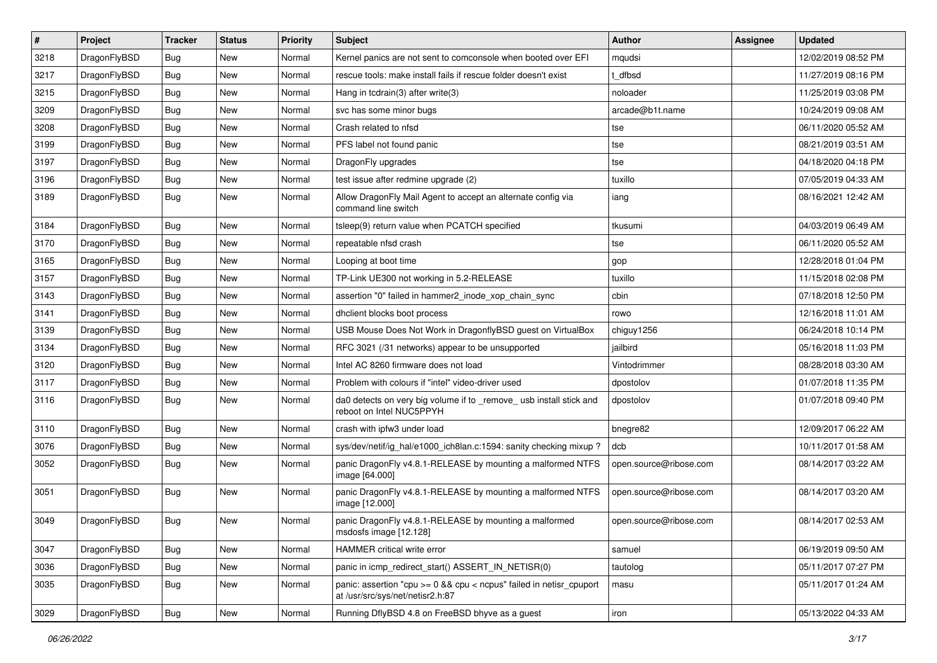| $\sharp$ | Project      | <b>Tracker</b> | <b>Status</b> | <b>Priority</b> | Subject                                                                                                 | <b>Author</b>          | <b>Assignee</b> | <b>Updated</b>      |
|----------|--------------|----------------|---------------|-----------------|---------------------------------------------------------------------------------------------------------|------------------------|-----------------|---------------------|
| 3218     | DragonFlyBSD | Bug            | New           | Normal          | Kernel panics are not sent to comconsole when booted over EFI                                           | mqudsi                 |                 | 12/02/2019 08:52 PM |
| 3217     | DragonFlyBSD | Bug            | <b>New</b>    | Normal          | rescue tools: make install fails if rescue folder doesn't exist                                         | t dfbsd                |                 | 11/27/2019 08:16 PM |
| 3215     | DragonFlyBSD | <b>Bug</b>     | New           | Normal          | Hang in tcdrain(3) after write(3)                                                                       | noloader               |                 | 11/25/2019 03:08 PM |
| 3209     | DragonFlyBSD | <b>Bug</b>     | <b>New</b>    | Normal          | svc has some minor bugs                                                                                 | arcade@b1t.name        |                 | 10/24/2019 09:08 AM |
| 3208     | DragonFlyBSD | Bug            | <b>New</b>    | Normal          | Crash related to nfsd                                                                                   | tse                    |                 | 06/11/2020 05:52 AM |
| 3199     | DragonFlyBSD | <b>Bug</b>     | <b>New</b>    | Normal          | PFS label not found panic                                                                               | tse                    |                 | 08/21/2019 03:51 AM |
| 3197     | DragonFlyBSD | Bug            | New           | Normal          | DragonFly upgrades                                                                                      | tse                    |                 | 04/18/2020 04:18 PM |
| 3196     | DragonFlyBSD | Bug            | New           | Normal          | test issue after redmine upgrade (2)                                                                    | tuxillo                |                 | 07/05/2019 04:33 AM |
| 3189     | DragonFlyBSD | Bug            | New           | Normal          | Allow DragonFly Mail Agent to accept an alternate config via<br>command line switch                     | iang                   |                 | 08/16/2021 12:42 AM |
| 3184     | DragonFlyBSD | Bug            | <b>New</b>    | Normal          | tsleep(9) return value when PCATCH specified                                                            | tkusumi                |                 | 04/03/2019 06:49 AM |
| 3170     | DragonFlyBSD | Bug            | New           | Normal          | repeatable nfsd crash                                                                                   | tse                    |                 | 06/11/2020 05:52 AM |
| 3165     | DragonFlyBSD | Bug            | <b>New</b>    | Normal          | Looping at boot time                                                                                    | gop                    |                 | 12/28/2018 01:04 PM |
| 3157     | DragonFlyBSD | Bug            | <b>New</b>    | Normal          | TP-Link UE300 not working in 5.2-RELEASE                                                                | tuxillo                |                 | 11/15/2018 02:08 PM |
| 3143     | DragonFlyBSD | Bug            | <b>New</b>    | Normal          | assertion "0" failed in hammer2_inode_xop_chain_sync                                                    | cbin                   |                 | 07/18/2018 12:50 PM |
| 3141     | DragonFlyBSD | Bug            | New           | Normal          | dhclient blocks boot process                                                                            | rowo                   |                 | 12/16/2018 11:01 AM |
| 3139     | DragonFlyBSD | Bug            | New           | Normal          | USB Mouse Does Not Work in DragonflyBSD guest on VirtualBox                                             | chiguy1256             |                 | 06/24/2018 10:14 PM |
| 3134     | DragonFlyBSD | Bug            | <b>New</b>    | Normal          | RFC 3021 (/31 networks) appear to be unsupported                                                        | jailbird               |                 | 05/16/2018 11:03 PM |
| 3120     | DragonFlyBSD | Bug            | New           | Normal          | Intel AC 8260 firmware does not load                                                                    | Vintodrimmer           |                 | 08/28/2018 03:30 AM |
| 3117     | DragonFlyBSD | Bug            | <b>New</b>    | Normal          | Problem with colours if "intel" video-driver used                                                       | dpostolov              |                 | 01/07/2018 11:35 PM |
| 3116     | DragonFlyBSD | Bug            | New           | Normal          | da0 detects on very big volume if to _remove_ usb install stick and<br>reboot on Intel NUC5PPYH         | dpostolov              |                 | 01/07/2018 09:40 PM |
| 3110     | DragonFlyBSD | <b>Bug</b>     | New           | Normal          | crash with ipfw3 under load                                                                             | bnegre82               |                 | 12/09/2017 06:22 AM |
| 3076     | DragonFlyBSD | <b>Bug</b>     | New           | Normal          | sys/dev/netif/ig hal/e1000 ich8lan.c:1594: sanity checking mixup?                                       | dcb                    |                 | 10/11/2017 01:58 AM |
| 3052     | DragonFlyBSD | <b>Bug</b>     | New           | Normal          | panic DragonFly v4.8.1-RELEASE by mounting a malformed NTFS<br>image [64.000]                           | open.source@ribose.com |                 | 08/14/2017 03:22 AM |
| 3051     | DragonFlyBSD | Bug            | New           | Normal          | panic DragonFly v4.8.1-RELEASE by mounting a malformed NTFS<br>image [12.000]                           | open.source@ribose.com |                 | 08/14/2017 03:20 AM |
| 3049     | DragonFlyBSD | Bug            | New           | Normal          | panic DragonFly v4.8.1-RELEASE by mounting a malformed<br>msdosts image [12.128]                        | open.source@ribose.com |                 | 08/14/2017 02:53 AM |
| 3047     | DragonFlyBSD | <b>Bug</b>     | New           | Normal          | HAMMER critical write error                                                                             | samuel                 |                 | 06/19/2019 09:50 AM |
| 3036     | DragonFlyBSD | Bug            | New           | Normal          | panic in icmp redirect start() ASSERT IN NETISR(0)                                                      | tautolog               |                 | 05/11/2017 07:27 PM |
| 3035     | DragonFlyBSD | Bug            | New           | Normal          | panic: assertion "cpu >= 0 && cpu < ncpus" failed in netisr_cpuport<br>at /usr/src/sys/net/netisr2.h:87 | masu                   |                 | 05/11/2017 01:24 AM |
| 3029     | DragonFlyBSD | <b>Bug</b>     | New           | Normal          | Running DflyBSD 4.8 on FreeBSD bhyve as a guest                                                         | iron                   |                 | 05/13/2022 04:33 AM |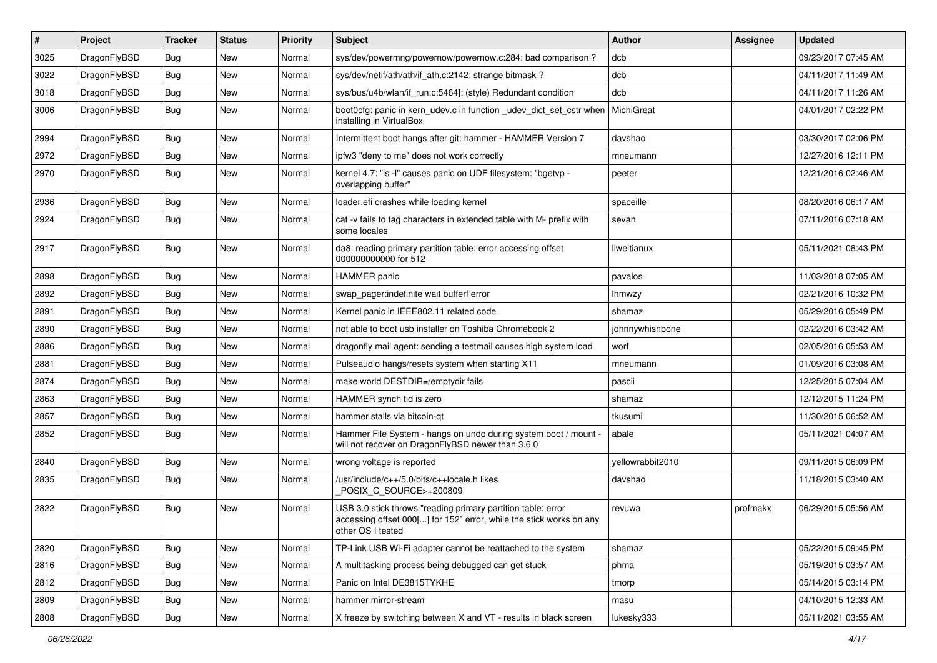| $\sharp$ | Project      | <b>Tracker</b> | <b>Status</b> | <b>Priority</b> | Subject                                                                                                                                                  | Author           | Assignee | <b>Updated</b>      |
|----------|--------------|----------------|---------------|-----------------|----------------------------------------------------------------------------------------------------------------------------------------------------------|------------------|----------|---------------------|
| 3025     | DragonFlyBSD | <b>Bug</b>     | <b>New</b>    | Normal          | sys/dev/powermng/powernow/powernow.c:284: bad comparison?                                                                                                | dcb              |          | 09/23/2017 07:45 AM |
| 3022     | DragonFlyBSD | <b>Bug</b>     | <b>New</b>    | Normal          | sys/dev/netif/ath/ath/if_ath.c:2142: strange bitmask?                                                                                                    | dcb              |          | 04/11/2017 11:49 AM |
| 3018     | DragonFlyBSD | <b>Bug</b>     | <b>New</b>    | Normal          | sys/bus/u4b/wlan/if_run.c:5464]: (style) Redundant condition                                                                                             | dcb              |          | 04/11/2017 11:26 AM |
| 3006     | DragonFlyBSD | <b>Bug</b>     | New           | Normal          | boot0cfg: panic in kern_udev.c in function _udev_dict_set_cstr when<br>installing in VirtualBox                                                          | MichiGreat       |          | 04/01/2017 02:22 PM |
| 2994     | DragonFlyBSD | Bug            | <b>New</b>    | Normal          | Intermittent boot hangs after git: hammer - HAMMER Version 7                                                                                             | davshao          |          | 03/30/2017 02:06 PM |
| 2972     | DragonFlyBSD | <b>Bug</b>     | <b>New</b>    | Normal          | ipfw3 "deny to me" does not work correctly                                                                                                               | mneumann         |          | 12/27/2016 12:11 PM |
| 2970     | DragonFlyBSD | Bug            | New           | Normal          | kernel 4.7: "Is -I" causes panic on UDF filesystem: "bgetvp -<br>overlapping buffer"                                                                     | peeter           |          | 12/21/2016 02:46 AM |
| 2936     | DragonFlyBSD | <b>Bug</b>     | <b>New</b>    | Normal          | loader.efi crashes while loading kernel                                                                                                                  | spaceille        |          | 08/20/2016 06:17 AM |
| 2924     | DragonFlyBSD | <b>Bug</b>     | <b>New</b>    | Normal          | cat -v fails to tag characters in extended table with M- prefix with<br>some locales                                                                     | sevan            |          | 07/11/2016 07:18 AM |
| 2917     | DragonFlyBSD | <b>Bug</b>     | New           | Normal          | da8: reading primary partition table: error accessing offset<br>000000000000 for 512                                                                     | liweitianux      |          | 05/11/2021 08:43 PM |
| 2898     | DragonFlyBSD | Bug            | <b>New</b>    | Normal          | <b>HAMMER</b> panic                                                                                                                                      | pavalos          |          | 11/03/2018 07:05 AM |
| 2892     | DragonFlyBSD | <b>Bug</b>     | <b>New</b>    | Normal          | swap pager:indefinite wait bufferf error                                                                                                                 | <b>Ihmwzy</b>    |          | 02/21/2016 10:32 PM |
| 2891     | DragonFlyBSD | <b>Bug</b>     | <b>New</b>    | Normal          | Kernel panic in IEEE802.11 related code                                                                                                                  | shamaz           |          | 05/29/2016 05:49 PM |
| 2890     | DragonFlyBSD | <b>Bug</b>     | <b>New</b>    | Normal          | not able to boot usb installer on Toshiba Chromebook 2                                                                                                   | johnnywhishbone  |          | 02/22/2016 03:42 AM |
| 2886     | DragonFlyBSD | <b>Bug</b>     | <b>New</b>    | Normal          | dragonfly mail agent: sending a testmail causes high system load                                                                                         | worf             |          | 02/05/2016 05:53 AM |
| 2881     | DragonFlyBSD | <b>Bug</b>     | New           | Normal          | Pulseaudio hangs/resets system when starting X11                                                                                                         | mneumann         |          | 01/09/2016 03:08 AM |
| 2874     | DragonFlyBSD | <b>Bug</b>     | <b>New</b>    | Normal          | make world DESTDIR=/emptydir fails                                                                                                                       | pascii           |          | 12/25/2015 07:04 AM |
| 2863     | DragonFlyBSD | <b>Bug</b>     | <b>New</b>    | Normal          | HAMMER synch tid is zero                                                                                                                                 | shamaz           |          | 12/12/2015 11:24 PM |
| 2857     | DragonFlyBSD | <b>Bug</b>     | <b>New</b>    | Normal          | hammer stalls via bitcoin-qt                                                                                                                             | tkusumi          |          | 11/30/2015 06:52 AM |
| 2852     | DragonFlyBSD | Bug            | New           | Normal          | Hammer File System - hangs on undo during system boot / mount -<br>will not recover on DragonFlyBSD newer than 3.6.0                                     | abale            |          | 05/11/2021 04:07 AM |
| 2840     | DragonFlyBSD | <b>Bug</b>     | New           | Normal          | wrong voltage is reported                                                                                                                                | yellowrabbit2010 |          | 09/11/2015 06:09 PM |
| 2835     | DragonFlyBSD | <b>Bug</b>     | <b>New</b>    | Normal          | /usr/include/c++/5.0/bits/c++locale.h likes<br>POSIX_C_SOURCE>=200809                                                                                    | davshao          |          | 11/18/2015 03:40 AM |
| 2822     | DragonFlyBSD | <b>Bug</b>     | <b>New</b>    | Normal          | JSB 3.0 stick throws "reading primary partition table: error<br>accessing offset 000[] for 152" error, while the stick works on any<br>other OS I tested | revuwa           | profmakx | 06/29/2015 05:56 AM |
| 2820     | DragonFlyBSD | Bug            | New           | Normal          | TP-Link USB Wi-Fi adapter cannot be reattached to the system                                                                                             | shamaz           |          | 05/22/2015 09:45 PM |
| 2816     | DragonFlyBSD | <b>Bug</b>     | New           | Normal          | A multitasking process being debugged can get stuck                                                                                                      | phma             |          | 05/19/2015 03:57 AM |
| 2812     | DragonFlyBSD | <b>Bug</b>     | New           | Normal          | Panic on Intel DE3815TYKHE                                                                                                                               | tmorp            |          | 05/14/2015 03:14 PM |
| 2809     | DragonFlyBSD | <b>Bug</b>     | New           | Normal          | hammer mirror-stream                                                                                                                                     | masu             |          | 04/10/2015 12:33 AM |
| 2808     | DragonFlyBSD | <b>Bug</b>     | New           | Normal          | X freeze by switching between X and VT - results in black screen                                                                                         | lukesky333       |          | 05/11/2021 03:55 AM |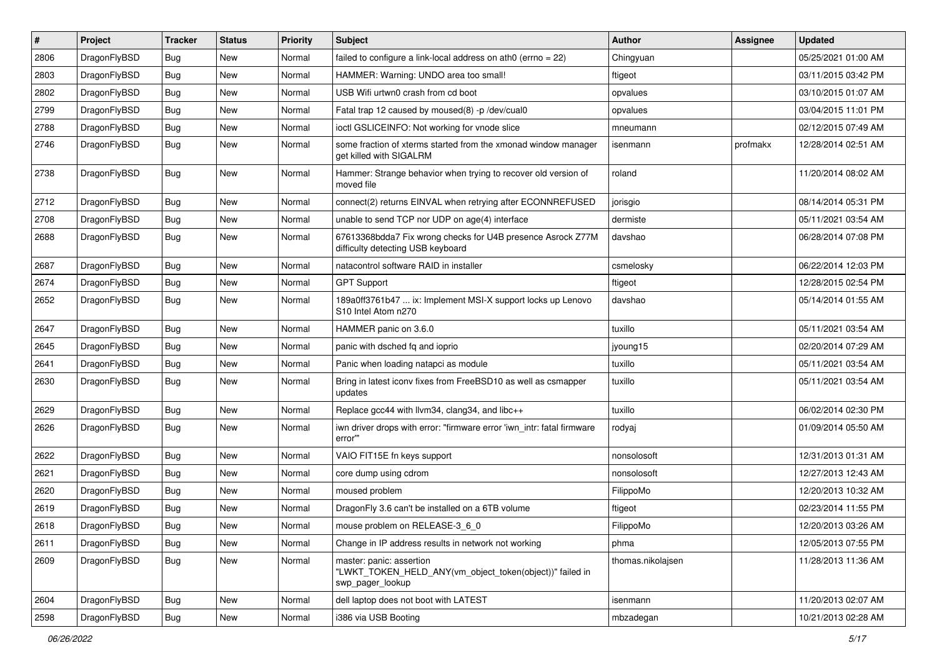| $\sharp$ | Project      | <b>Tracker</b> | <b>Status</b> | <b>Priority</b> | Subject                                                                                                    | Author            | Assignee | <b>Updated</b>      |
|----------|--------------|----------------|---------------|-----------------|------------------------------------------------------------------------------------------------------------|-------------------|----------|---------------------|
| 2806     | DragonFlyBSD | <b>Bug</b>     | New           | Normal          | failed to configure a link-local address on ath0 (errno = 22)                                              | Chingyuan         |          | 05/25/2021 01:00 AM |
| 2803     | DragonFlyBSD | Bug            | <b>New</b>    | Normal          | HAMMER: Warning: UNDO area too small!                                                                      | ftigeot           |          | 03/11/2015 03:42 PM |
| 2802     | DragonFlyBSD | <b>Bug</b>     | <b>New</b>    | Normal          | USB Wifi urtwn0 crash from cd boot                                                                         | opvalues          |          | 03/10/2015 01:07 AM |
| 2799     | DragonFlyBSD | <b>Bug</b>     | New           | Normal          | Fatal trap 12 caused by moused(8) -p /dev/cual0                                                            | opvalues          |          | 03/04/2015 11:01 PM |
| 2788     | DragonFlyBSD | Bug            | <b>New</b>    | Normal          | ioctl GSLICEINFO: Not working for vnode slice                                                              | mneumann          |          | 02/12/2015 07:49 AM |
| 2746     | DragonFlyBSD | Bug            | <b>New</b>    | Normal          | some fraction of xterms started from the xmonad window manager<br>get killed with SIGALRM                  | isenmann          | profmakx | 12/28/2014 02:51 AM |
| 2738     | DragonFlyBSD | Bug            | <b>New</b>    | Normal          | Hammer: Strange behavior when trying to recover old version of<br>moved file                               | roland            |          | 11/20/2014 08:02 AM |
| 2712     | DragonFlyBSD | Bug            | New           | Normal          | connect(2) returns EINVAL when retrying after ECONNREFUSED                                                 | jorisgio          |          | 08/14/2014 05:31 PM |
| 2708     | DragonFlyBSD | <b>Bug</b>     | <b>New</b>    | Normal          | unable to send TCP nor UDP on age(4) interface                                                             | dermiste          |          | 05/11/2021 03:54 AM |
| 2688     | DragonFlyBSD | <b>Bug</b>     | New           | Normal          | 67613368bdda7 Fix wrong checks for U4B presence Asrock Z77M<br>difficulty detecting USB keyboard           | davshao           |          | 06/28/2014 07:08 PM |
| 2687     | DragonFlyBSD | Bug            | New           | Normal          | natacontrol software RAID in installer                                                                     | csmelosky         |          | 06/22/2014 12:03 PM |
| 2674     | DragonFlyBSD | Bug            | New           | Normal          | <b>GPT Support</b>                                                                                         | ftigeot           |          | 12/28/2015 02:54 PM |
| 2652     | DragonFlyBSD | Bug            | <b>New</b>    | Normal          | 189a0ff3761b47  ix: Implement MSI-X support locks up Lenovo<br>S <sub>10</sub> Intel Atom n <sub>270</sub> | davshao           |          | 05/14/2014 01:55 AM |
| 2647     | DragonFlyBSD | Bug            | <b>New</b>    | Normal          | HAMMER panic on 3.6.0                                                                                      | tuxillo           |          | 05/11/2021 03:54 AM |
| 2645     | DragonFlyBSD | <b>Bug</b>     | <b>New</b>    | Normal          | panic with dsched fq and ioprio                                                                            | jyoung15          |          | 02/20/2014 07:29 AM |
| 2641     | DragonFlyBSD | <b>Bug</b>     | New           | Normal          | Panic when loading natapci as module                                                                       | tuxillo           |          | 05/11/2021 03:54 AM |
| 2630     | DragonFlyBSD | Bug            | <b>New</b>    | Normal          | Bring in latest iconv fixes from FreeBSD10 as well as csmapper<br>updates                                  | tuxillo           |          | 05/11/2021 03:54 AM |
| 2629     | DragonFlyBSD | Bug            | New           | Normal          | Replace gcc44 with llvm34, clang34, and libc++                                                             | tuxillo           |          | 06/02/2014 02:30 PM |
| 2626     | DragonFlyBSD | Bug            | New           | Normal          | iwn driver drops with error: "firmware error 'iwn_intr: fatal firmware<br>error"                           | rodyaj            |          | 01/09/2014 05:50 AM |
| 2622     | DragonFlyBSD | <b>Bug</b>     | New           | Normal          | VAIO FIT15E fn keys support                                                                                | nonsolosoft       |          | 12/31/2013 01:31 AM |
| 2621     | DragonFlyBSD | Bug            | <b>New</b>    | Normal          | core dump using cdrom                                                                                      | nonsolosoft       |          | 12/27/2013 12:43 AM |
| 2620     | DragonFlyBSD | Bug            | New           | Normal          | moused problem                                                                                             | FilippoMo         |          | 12/20/2013 10:32 AM |
| 2619     | DragonFlyBSD | Bug            | <b>New</b>    | Normal          | DragonFly 3.6 can't be installed on a 6TB volume                                                           | ftigeot           |          | 02/23/2014 11:55 PM |
| 2618     | DragonFlyBSD | <b>Bug</b>     | <b>New</b>    | Normal          | mouse problem on RELEASE-3 6 0                                                                             | FilippoMo         |          | 12/20/2013 03:26 AM |
| 2611     | DragonFlyBSD | Bug            | New           | Normal          | Change in IP address results in network not working                                                        | phma              |          | 12/05/2013 07:55 PM |
| 2609     | DragonFlyBSD | Bug            | New           | Normal          | master: panic: assertion<br>"LWKT TOKEN HELD ANY(vm object token(object))" failed in<br>swp_pager_lookup   | thomas.nikolajsen |          | 11/28/2013 11:36 AM |
| 2604     | DragonFlyBSD | Bug            | New           | Normal          | dell laptop does not boot with LATEST                                                                      | isenmann          |          | 11/20/2013 02:07 AM |
| 2598     | DragonFlyBSD | <b>Bug</b>     | New           | Normal          | i386 via USB Booting                                                                                       | mbzadegan         |          | 10/21/2013 02:28 AM |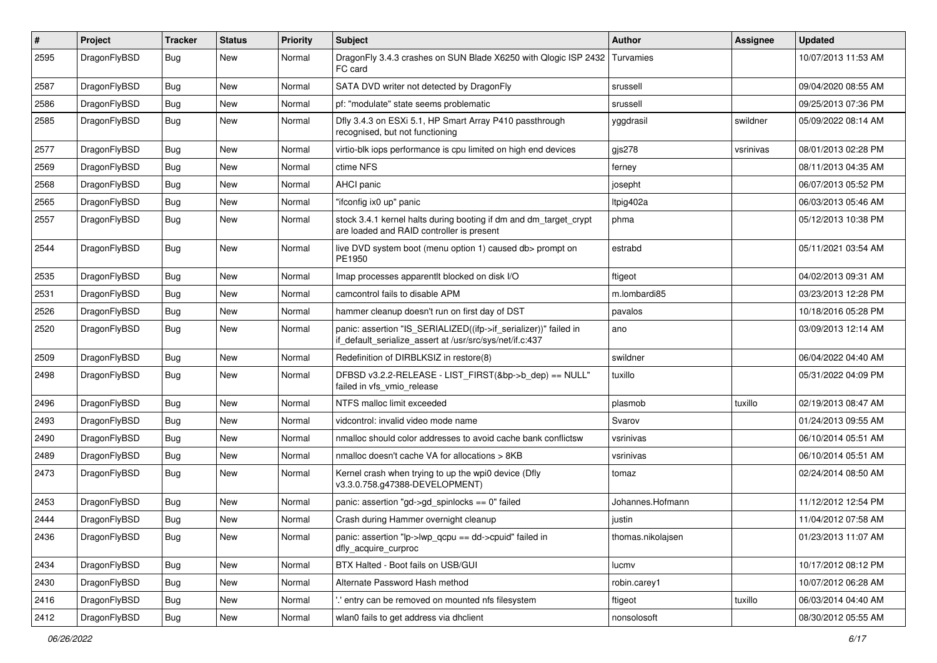| #    | Project      | <b>Tracker</b> | <b>Status</b> | <b>Priority</b> | Subject                                                                                                                      | <b>Author</b>     | <b>Assignee</b> | <b>Updated</b>      |
|------|--------------|----------------|---------------|-----------------|------------------------------------------------------------------------------------------------------------------------------|-------------------|-----------------|---------------------|
| 2595 | DragonFlyBSD | Bug            | <b>New</b>    | Normal          | DragonFly 3.4.3 crashes on SUN Blade X6250 with Qlogic ISP 2432<br>FC card                                                   | Turvamies         |                 | 10/07/2013 11:53 AM |
| 2587 | DragonFlyBSD | <b>Bug</b>     | <b>New</b>    | Normal          | SATA DVD writer not detected by DragonFly                                                                                    | srussell          |                 | 09/04/2020 08:55 AM |
| 2586 | DragonFlyBSD | <b>Bug</b>     | <b>New</b>    | Normal          | pf: "modulate" state seems problematic                                                                                       | srussell          |                 | 09/25/2013 07:36 PM |
| 2585 | DragonFlyBSD | <b>Bug</b>     | <b>New</b>    | Normal          | Dfly 3.4.3 on ESXi 5.1, HP Smart Array P410 passthrough<br>recognised, but not functioning                                   | yggdrasil         | swildner        | 05/09/2022 08:14 AM |
| 2577 | DragonFlyBSD | <b>Bug</b>     | <b>New</b>    | Normal          | virtio-blk iops performance is cpu limited on high end devices                                                               | gis278            | vsrinivas       | 08/01/2013 02:28 PM |
| 2569 | DragonFlyBSD | <b>Bug</b>     | <b>New</b>    | Normal          | ctime NFS                                                                                                                    | ferney            |                 | 08/11/2013 04:35 AM |
| 2568 | DragonFlyBSD | Bug            | <b>New</b>    | Normal          | <b>AHCI</b> panic                                                                                                            | josepht           |                 | 06/07/2013 05:52 PM |
| 2565 | DragonFlyBSD | Bug            | <b>New</b>    | Normal          | "ifconfig ix0 up" panic                                                                                                      | ltpig402a         |                 | 06/03/2013 05:46 AM |
| 2557 | DragonFlyBSD | Bug            | <b>New</b>    | Normal          | stock 3.4.1 kernel halts during booting if dm and dm_target_crypt<br>are loaded and RAID controller is present               | phma              |                 | 05/12/2013 10:38 PM |
| 2544 | DragonFlyBSD | <b>Bug</b>     | New           | Normal          | live DVD system boot (menu option 1) caused db> prompt on<br>PE1950                                                          | estrabd           |                 | 05/11/2021 03:54 AM |
| 2535 | DragonFlyBSD | Bug            | <b>New</b>    | Normal          | Imap processes apparentlt blocked on disk I/O                                                                                | ftigeot           |                 | 04/02/2013 09:31 AM |
| 2531 | DragonFlyBSD | <b>Bug</b>     | <b>New</b>    | Normal          | camcontrol fails to disable APM                                                                                              | m.lombardi85      |                 | 03/23/2013 12:28 PM |
| 2526 | DragonFlyBSD | Bug            | New           | Normal          | hammer cleanup doesn't run on first day of DST                                                                               | pavalos           |                 | 10/18/2016 05:28 PM |
| 2520 | DragonFlyBSD | Bug            | <b>New</b>    | Normal          | panic: assertion "IS_SERIALIZED((ifp->if_serializer))" failed in<br>if_default_serialize_assert at /usr/src/sys/net/if.c:437 | ano               |                 | 03/09/2013 12:14 AM |
| 2509 | DragonFlyBSD | Bug            | <b>New</b>    | Normal          | Redefinition of DIRBLKSIZ in restore(8)                                                                                      | swildner          |                 | 06/04/2022 04:40 AM |
| 2498 | DragonFlyBSD | Bug            | <b>New</b>    | Normal          | DFBSD v3.2.2-RELEASE - LIST_FIRST(&bp->b_dep) == NULL"<br>failed in vfs vmio release                                         | tuxillo           |                 | 05/31/2022 04:09 PM |
| 2496 | DragonFlyBSD | <b>Bug</b>     | <b>New</b>    | Normal          | NTFS malloc limit exceeded                                                                                                   | plasmob           | tuxillo         | 02/19/2013 08:47 AM |
| 2493 | DragonFlyBSD | Bug            | <b>New</b>    | Normal          | vidcontrol: invalid video mode name                                                                                          | Svarov            |                 | 01/24/2013 09:55 AM |
| 2490 | DragonFlyBSD | Bug            | <b>New</b>    | Normal          | nmalloc should color addresses to avoid cache bank conflictsw                                                                | vsrinivas         |                 | 06/10/2014 05:51 AM |
| 2489 | DragonFlyBSD | Bug            | <b>New</b>    | Normal          | nmalloc doesn't cache VA for allocations > 8KB                                                                               | vsrinivas         |                 | 06/10/2014 05:51 AM |
| 2473 | DragonFlyBSD | <b>Bug</b>     | New           | Normal          | Kernel crash when trying to up the wpi0 device (Dfly<br>v3.3.0.758.g47388-DEVELOPMENT)                                       | tomaz             |                 | 02/24/2014 08:50 AM |
| 2453 | DragonFlyBSD | Bug            | <b>New</b>    | Normal          | panic: assertion "gd->gd_spinlocks == 0" failed                                                                              | Johannes.Hofmann  |                 | 11/12/2012 12:54 PM |
| 2444 | DragonFlyBSD | Bug            | New           | Normal          | Crash during Hammer overnight cleanup                                                                                        | justin            |                 | 11/04/2012 07:58 AM |
| 2436 | DragonFlyBSD | Bug            | New           | Normal          | panic: assertion "lp->lwp_qcpu == dd->cpuid" failed in<br>dfly acquire curproc                                               | thomas.nikolajsen |                 | 01/23/2013 11:07 AM |
| 2434 | DragonFlyBSD | <b>Bug</b>     | New           | Normal          | BTX Halted - Boot fails on USB/GUI                                                                                           | lucmv             |                 | 10/17/2012 08:12 PM |
| 2430 | DragonFlyBSD | Bug            | New           | Normal          | Alternate Password Hash method                                                                                               | robin.carey1      |                 | 10/07/2012 06:28 AM |
| 2416 | DragonFlyBSD | <b>Bug</b>     | New           | Normal          | ' entry can be removed on mounted nfs filesystem                                                                             | ftigeot           | tuxillo         | 06/03/2014 04:40 AM |
| 2412 | DragonFlyBSD | Bug            | New           | Normal          | wlan0 fails to get address via dhclient                                                                                      | nonsolosoft       |                 | 08/30/2012 05:55 AM |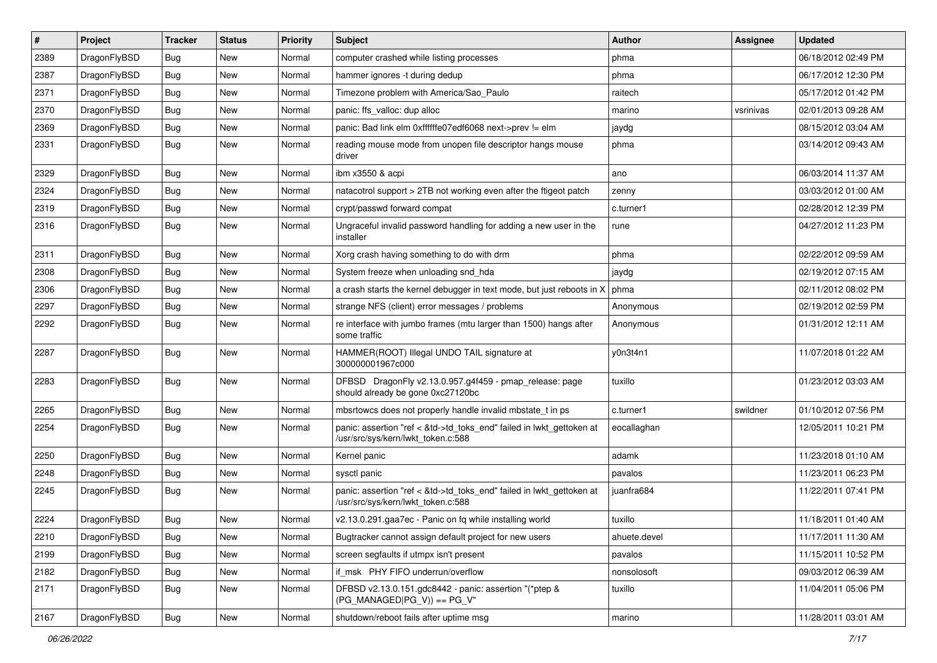| $\sharp$ | Project      | <b>Tracker</b> | <b>Status</b> | <b>Priority</b> | Subject                                                                                                    | <b>Author</b> | Assignee  | <b>Updated</b>      |
|----------|--------------|----------------|---------------|-----------------|------------------------------------------------------------------------------------------------------------|---------------|-----------|---------------------|
| 2389     | DragonFlyBSD | Bug            | New           | Normal          | computer crashed while listing processes                                                                   | phma          |           | 06/18/2012 02:49 PM |
| 2387     | DragonFlyBSD | Bug            | New           | Normal          | hammer ignores -t during dedup                                                                             | phma          |           | 06/17/2012 12:30 PM |
| 2371     | DragonFlyBSD | Bug            | New           | Normal          | Timezone problem with America/Sao_Paulo                                                                    | raitech       |           | 05/17/2012 01:42 PM |
| 2370     | DragonFlyBSD | Bug            | New           | Normal          | panic: ffs_valloc: dup alloc                                                                               | marino        | vsrinivas | 02/01/2013 09:28 AM |
| 2369     | DragonFlyBSD | Bug            | New           | Normal          | panic: Bad link elm 0xffffffe07edf6068 next->prev != elm                                                   | jaydg         |           | 08/15/2012 03:04 AM |
| 2331     | DragonFlyBSD | Bug            | <b>New</b>    | Normal          | reading mouse mode from unopen file descriptor hangs mouse<br>driver                                       | phma          |           | 03/14/2012 09:43 AM |
| 2329     | DragonFlyBSD | Bug            | <b>New</b>    | Normal          | ibm x3550 & acpi                                                                                           | ano           |           | 06/03/2014 11:37 AM |
| 2324     | DragonFlyBSD | Bug            | New           | Normal          | natacotrol support > 2TB not working even after the ftigeot patch                                          | zenny         |           | 03/03/2012 01:00 AM |
| 2319     | DragonFlyBSD | <b>Bug</b>     | <b>New</b>    | Normal          | crypt/passwd forward compat                                                                                | c.turner1     |           | 02/28/2012 12:39 PM |
| 2316     | DragonFlyBSD | <b>Bug</b>     | New           | Normal          | Ungraceful invalid password handling for adding a new user in the<br>installer                             | rune          |           | 04/27/2012 11:23 PM |
| 2311     | DragonFlyBSD | <b>Bug</b>     | New           | Normal          | Xorg crash having something to do with drm                                                                 | phma          |           | 02/22/2012 09:59 AM |
| 2308     | DragonFlyBSD | <b>Bug</b>     | New           | Normal          | System freeze when unloading snd hda                                                                       | jaydg         |           | 02/19/2012 07:15 AM |
| 2306     | DragonFlyBSD | <b>Bug</b>     | New           | Normal          | a crash starts the kernel debugger in text mode, but just reboots in X                                     | phma          |           | 02/11/2012 08:02 PM |
| 2297     | DragonFlyBSD | <b>Bug</b>     | New           | Normal          | strange NFS (client) error messages / problems                                                             | Anonymous     |           | 02/19/2012 02:59 PM |
| 2292     | DragonFlyBSD | <b>Bug</b>     | New           | Normal          | re interface with jumbo frames (mtu larger than 1500) hangs after<br>some traffic                          | Anonymous     |           | 01/31/2012 12:11 AM |
| 2287     | DragonFlyBSD | <b>Bug</b>     | New           | Normal          | HAMMER(ROOT) Illegal UNDO TAIL signature at<br>300000001967c000                                            | y0n3t4n1      |           | 11/07/2018 01:22 AM |
| 2283     | DragonFlyBSD | <b>Bug</b>     | New           | Normal          | DFBSD DragonFly v2.13.0.957.g4f459 - pmap_release: page<br>should already be gone 0xc27120bc               | tuxillo       |           | 01/23/2012 03:03 AM |
| 2265     | DragonFlyBSD | <b>Bug</b>     | New           | Normal          | mbsrtowcs does not properly handle invalid mbstate_t in ps                                                 | c.turner1     | swildner  | 01/10/2012 07:56 PM |
| 2254     | DragonFlyBSD | <b>Bug</b>     | New           | Normal          | panic: assertion "ref < &td->td_toks_end" failed in lwkt_gettoken at<br>/usr/src/sys/kern/lwkt_token.c:588 | eocallaghan   |           | 12/05/2011 10:21 PM |
| 2250     | DragonFlyBSD | <b>Bug</b>     | New           | Normal          | Kernel panic                                                                                               | adamk         |           | 11/23/2018 01:10 AM |
| 2248     | DragonFlyBSD | <b>Bug</b>     | <b>New</b>    | Normal          | sysctl panic                                                                                               | pavalos       |           | 11/23/2011 06:23 PM |
| 2245     | DragonFlyBSD | <b>Bug</b>     | New           | Normal          | panic: assertion "ref < &td->td_toks_end" failed in lwkt_gettoken at<br>/usr/src/sys/kern/lwkt_token.c:588 | juanfra684    |           | 11/22/2011 07:41 PM |
| 2224     | DragonFlyBSD | <b>Bug</b>     | New           | Normal          | v2.13.0.291.gaa7ec - Panic on fq while installing world                                                    | tuxillo       |           | 11/18/2011 01:40 AM |
| 2210     | DragonFlyBSD | <b>Bug</b>     | New           | Normal          | Bugtracker cannot assign default project for new users                                                     | ahuete.devel  |           | 11/17/2011 11:30 AM |
| 2199     | DragonFlyBSD | <b>Bug</b>     | New           | Normal          | screen segfaults if utmpx isn't present                                                                    | pavalos       |           | 11/15/2011 10:52 PM |
| 2182     | DragonFlyBSD | <b>Bug</b>     | New           | Normal          | if_msk PHY FIFO underrun/overflow                                                                          | nonsolosoft   |           | 09/03/2012 06:39 AM |
| 2171     | DragonFlyBSD | <b>Bug</b>     | New           | Normal          | DFBSD v2.13.0.151.gdc8442 - panic: assertion "(*ptep &<br>$(PG MANAGED PG V)) == PG V"$                    | tuxillo       |           | 11/04/2011 05:06 PM |
| 2167     | DragonFlyBSD | <b>Bug</b>     | New           | Normal          | shutdown/reboot fails after uptime msg                                                                     | marino        |           | 11/28/2011 03:01 AM |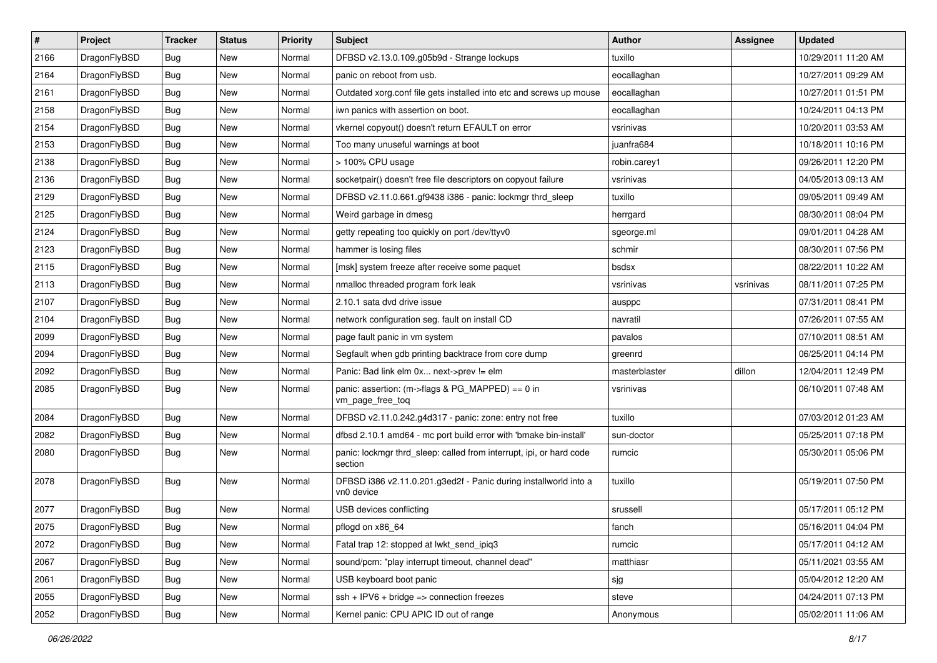| $\sharp$ | Project      | <b>Tracker</b> | <b>Status</b> | <b>Priority</b> | <b>Subject</b>                                                                 | Author        | Assignee  | <b>Updated</b>      |
|----------|--------------|----------------|---------------|-----------------|--------------------------------------------------------------------------------|---------------|-----------|---------------------|
| 2166     | DragonFlyBSD | <b>Bug</b>     | New           | Normal          | DFBSD v2.13.0.109.g05b9d - Strange lockups                                     | tuxillo       |           | 10/29/2011 11:20 AM |
| 2164     | DragonFlyBSD | <b>Bug</b>     | <b>New</b>    | Normal          | panic on reboot from usb.                                                      | eocallaghan   |           | 10/27/2011 09:29 AM |
| 2161     | DragonFlyBSD | <b>Bug</b>     | <b>New</b>    | Normal          | Outdated xorg.conf file gets installed into etc and screws up mouse            | eocallaghan   |           | 10/27/2011 01:51 PM |
| 2158     | DragonFlyBSD | <b>Bug</b>     | New           | Normal          | iwn panics with assertion on boot.                                             | eocallaghan   |           | 10/24/2011 04:13 PM |
| 2154     | DragonFlyBSD | <b>Bug</b>     | <b>New</b>    | Normal          | vkernel copyout() doesn't return EFAULT on error                               | vsrinivas     |           | 10/20/2011 03:53 AM |
| 2153     | DragonFlyBSD | Bug            | New           | Normal          | Too many unuseful warnings at boot                                             | juanfra684    |           | 10/18/2011 10:16 PM |
| 2138     | DragonFlyBSD | <b>Bug</b>     | New           | Normal          | > 100% CPU usage                                                               | robin.carey1  |           | 09/26/2011 12:20 PM |
| 2136     | DragonFlyBSD | <b>Bug</b>     | New           | Normal          | socketpair() doesn't free file descriptors on copyout failure                  | vsrinivas     |           | 04/05/2013 09:13 AM |
| 2129     | DragonFlyBSD | <b>Bug</b>     | New           | Normal          | DFBSD v2.11.0.661.gf9438 i386 - panic: lockmgr thrd_sleep                      | tuxillo       |           | 09/05/2011 09:49 AM |
| 2125     | DragonFlyBSD | Bug            | New           | Normal          | Weird garbage in dmesg                                                         | herrgard      |           | 08/30/2011 08:04 PM |
| 2124     | DragonFlyBSD | Bug            | New           | Normal          | getty repeating too quickly on port /dev/ttyv0                                 | sgeorge.ml    |           | 09/01/2011 04:28 AM |
| 2123     | DragonFlyBSD | Bug            | New           | Normal          | hammer is losing files                                                         | schmir        |           | 08/30/2011 07:56 PM |
| 2115     | DragonFlyBSD | Bug            | New           | Normal          | [msk] system freeze after receive some paquet                                  | bsdsx         |           | 08/22/2011 10:22 AM |
| 2113     | DragonFlyBSD | Bug            | <b>New</b>    | Normal          | nmalloc threaded program fork leak                                             | vsrinivas     | vsrinivas | 08/11/2011 07:25 PM |
| 2107     | DragonFlyBSD | Bug            | <b>New</b>    | Normal          | 2.10.1 sata dvd drive issue                                                    | ausppc        |           | 07/31/2011 08:41 PM |
| 2104     | DragonFlyBSD | <b>Bug</b>     | <b>New</b>    | Normal          | network configuration seg. fault on install CD                                 | navratil      |           | 07/26/2011 07:55 AM |
| 2099     | DragonFlyBSD | Bug            | New           | Normal          | page fault panic in vm system                                                  | pavalos       |           | 07/10/2011 08:51 AM |
| 2094     | DragonFlyBSD | Bug            | <b>New</b>    | Normal          | Segfault when gdb printing backtrace from core dump                            | greenrd       |           | 06/25/2011 04:14 PM |
| 2092     | DragonFlyBSD | Bug            | <b>New</b>    | Normal          | Panic: Bad link elm 0x next->prev != elm                                       | masterblaster | dillon    | 12/04/2011 12:49 PM |
| 2085     | DragonFlyBSD | Bug            | New           | Normal          | panic: assertion: (m->flags & PG_MAPPED) == 0 in<br>vm_page_free_toq           | vsrinivas     |           | 06/10/2011 07:48 AM |
| 2084     | DragonFlyBSD | Bug            | <b>New</b>    | Normal          | DFBSD v2.11.0.242.g4d317 - panic: zone: entry not free                         | tuxillo       |           | 07/03/2012 01:23 AM |
| 2082     | DragonFlyBSD | <b>Bug</b>     | <b>New</b>    | Normal          | dfbsd 2.10.1 amd64 - mc port build error with 'bmake bin-install'              | sun-doctor    |           | 05/25/2011 07:18 PM |
| 2080     | DragonFlyBSD | <b>Bug</b>     | New           | Normal          | panic: lockmgr thrd_sleep: called from interrupt, ipi, or hard code<br>section | rumcic        |           | 05/30/2011 05:06 PM |
| 2078     | DragonFlyBSD | <b>Bug</b>     | New           | Normal          | DFBSD i386 v2.11.0.201.g3ed2f - Panic during installworld into a<br>vn0 device | tuxillo       |           | 05/19/2011 07:50 PM |
| 2077     | DragonFlyBSD | Bug            | New           | Normal          | USB devices conflicting                                                        | srussell      |           | 05/17/2011 05:12 PM |
| 2075     | DragonFlyBSD | Bug            | New           | Normal          | pflogd on x86_64                                                               | fanch         |           | 05/16/2011 04:04 PM |
| 2072     | DragonFlyBSD | Bug            | New           | Normal          | Fatal trap 12: stopped at lwkt_send_ipiq3                                      | rumcic        |           | 05/17/2011 04:12 AM |
| 2067     | DragonFlyBSD | Bug            | New           | Normal          | sound/pcm: "play interrupt timeout, channel dead"                              | matthiasr     |           | 05/11/2021 03:55 AM |
| 2061     | DragonFlyBSD | <b>Bug</b>     | <b>New</b>    | Normal          | USB keyboard boot panic                                                        | sjg           |           | 05/04/2012 12:20 AM |
| 2055     | DragonFlyBSD | Bug            | <b>New</b>    | Normal          | $ssh + IPV6 + bridge \Rightarrow$ connection freezes                           | steve         |           | 04/24/2011 07:13 PM |
| 2052     | DragonFlyBSD | <b>Bug</b>     | New           | Normal          | Kernel panic: CPU APIC ID out of range                                         | Anonymous     |           | 05/02/2011 11:06 AM |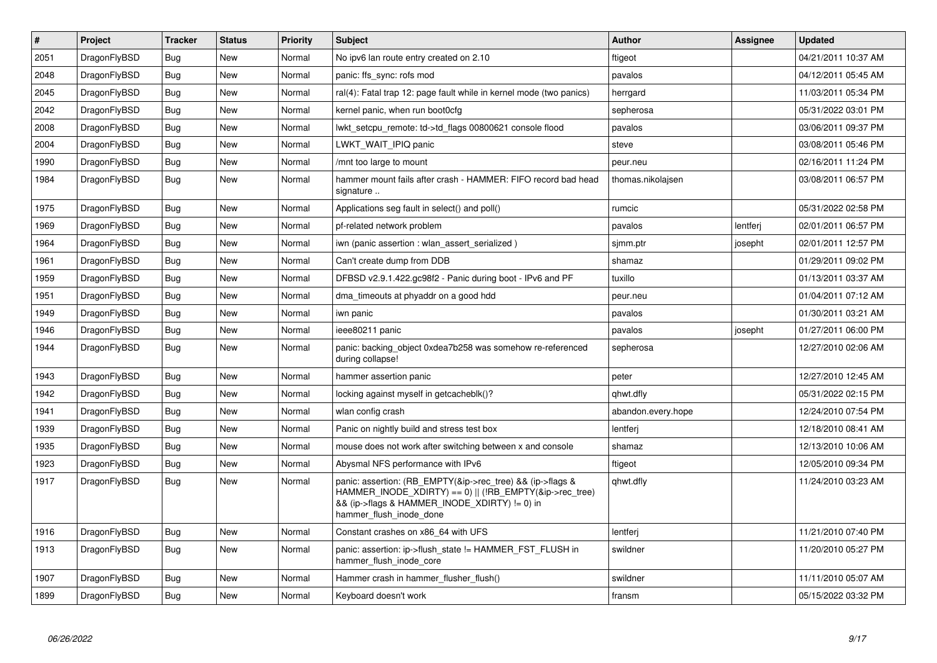| $\vert$ # | Project      | <b>Tracker</b> | <b>Status</b> | <b>Priority</b> | <b>Subject</b>                                                                                                                                                                                    | <b>Author</b>      | Assignee | <b>Updated</b>      |
|-----------|--------------|----------------|---------------|-----------------|---------------------------------------------------------------------------------------------------------------------------------------------------------------------------------------------------|--------------------|----------|---------------------|
| 2051      | DragonFlyBSD | <b>Bug</b>     | <b>New</b>    | Normal          | No ipv6 lan route entry created on 2.10                                                                                                                                                           | ftigeot            |          | 04/21/2011 10:37 AM |
| 2048      | DragonFlyBSD | Bug            | <b>New</b>    | Normal          | panic: ffs sync: rofs mod                                                                                                                                                                         | pavalos            |          | 04/12/2011 05:45 AM |
| 2045      | DragonFlyBSD | Bug            | <b>New</b>    | Normal          | ral(4): Fatal trap 12: page fault while in kernel mode (two panics)                                                                                                                               | herrgard           |          | 11/03/2011 05:34 PM |
| 2042      | DragonFlyBSD | <b>Bug</b>     | <b>New</b>    | Normal          | kernel panic, when run boot0cfg                                                                                                                                                                   | sepherosa          |          | 05/31/2022 03:01 PM |
| 2008      | DragonFlyBSD | <b>Bug</b>     | <b>New</b>    | Normal          | lwkt setcpu remote: td->td flags 00800621 console flood                                                                                                                                           | pavalos            |          | 03/06/2011 09:37 PM |
| 2004      | DragonFlyBSD | Bug            | New           | Normal          | LWKT_WAIT_IPIQ panic                                                                                                                                                                              | steve              |          | 03/08/2011 05:46 PM |
| 1990      | DragonFlyBSD | Bug            | New           | Normal          | /mnt too large to mount                                                                                                                                                                           | peur.neu           |          | 02/16/2011 11:24 PM |
| 1984      | DragonFlyBSD | Bug            | New           | Normal          | hammer mount fails after crash - HAMMER: FIFO record bad head<br>signature                                                                                                                        | thomas.nikolajsen  |          | 03/08/2011 06:57 PM |
| 1975      | DragonFlyBSD | Bug            | <b>New</b>    | Normal          | Applications seg fault in select() and poll()                                                                                                                                                     | rumcic             |          | 05/31/2022 02:58 PM |
| 1969      | DragonFlyBSD | Bug            | <b>New</b>    | Normal          | pf-related network problem                                                                                                                                                                        | pavalos            | lentferj | 02/01/2011 06:57 PM |
| 1964      | DragonFlyBSD | Bug            | <b>New</b>    | Normal          | iwn (panic assertion : wlan assert serialized)                                                                                                                                                    | simm.ptr           | josepht  | 02/01/2011 12:57 PM |
| 1961      | DragonFlyBSD | <b>Bug</b>     | New           | Normal          | Can't create dump from DDB                                                                                                                                                                        | shamaz             |          | 01/29/2011 09:02 PM |
| 1959      | DragonFlyBSD | Bug            | New           | Normal          | DFBSD v2.9.1.422.gc98f2 - Panic during boot - IPv6 and PF                                                                                                                                         | tuxillo            |          | 01/13/2011 03:37 AM |
| 1951      | DragonFlyBSD | <b>Bug</b>     | <b>New</b>    | Normal          | dma_timeouts at phyaddr on a good hdd                                                                                                                                                             | peur.neu           |          | 01/04/2011 07:12 AM |
| 1949      | DragonFlyBSD | Bug            | <b>New</b>    | Normal          | iwn panic                                                                                                                                                                                         | pavalos            |          | 01/30/2011 03:21 AM |
| 1946      | DragonFlyBSD | Bug            | <b>New</b>    | Normal          | ieee80211 panic                                                                                                                                                                                   | pavalos            | josepht  | 01/27/2011 06:00 PM |
| 1944      | DragonFlyBSD | Bug            | <b>New</b>    | Normal          | panic: backing object 0xdea7b258 was somehow re-referenced<br>during collapse!                                                                                                                    | sepherosa          |          | 12/27/2010 02:06 AM |
| 1943      | DragonFlyBSD | <b>Bug</b>     | <b>New</b>    | Normal          | hammer assertion panic                                                                                                                                                                            | peter              |          | 12/27/2010 12:45 AM |
| 1942      | DragonFlyBSD | Bug            | <b>New</b>    | Normal          | locking against myself in getcacheblk()?                                                                                                                                                          | qhwt.dfly          |          | 05/31/2022 02:15 PM |
| 1941      | DragonFlyBSD | <b>Bug</b>     | <b>New</b>    | Normal          | wlan config crash                                                                                                                                                                                 | abandon.every.hope |          | 12/24/2010 07:54 PM |
| 1939      | DragonFlyBSD | <b>Bug</b>     | New           | Normal          | Panic on nightly build and stress test box                                                                                                                                                        | lentferj           |          | 12/18/2010 08:41 AM |
| 1935      | DragonFlyBSD | Bug            | <b>New</b>    | Normal          | mouse does not work after switching between x and console                                                                                                                                         | shamaz             |          | 12/13/2010 10:06 AM |
| 1923      | DragonFlyBSD | <b>Bug</b>     | <b>New</b>    | Normal          | Abysmal NFS performance with IPv6                                                                                                                                                                 | ftigeot            |          | 12/05/2010 09:34 PM |
| 1917      | DragonFlyBSD | Bug            | New           | Normal          | panic: assertion: (RB EMPTY(&ip->rec tree) && (ip->flags &<br>HAMMER_INODE_XDIRTY) == 0)    (!RB_EMPTY(&ip->rec_tree)<br>&& (ip->flags & HAMMER INODE XDIRTY) != 0) in<br>hammer_flush_inode_done | qhwt.dfly          |          | 11/24/2010 03:23 AM |
| 1916      | DragonFlyBSD | Bug            | <b>New</b>    | Normal          | Constant crashes on x86_64 with UFS                                                                                                                                                               | lentferj           |          | 11/21/2010 07:40 PM |
| 1913      | DragonFlyBSD | <b>Bug</b>     | <b>New</b>    | Normal          | panic: assertion: ip->flush_state != HAMMER_FST_FLUSH in<br>hammer_flush_inode_core                                                                                                               | swildner           |          | 11/20/2010 05:27 PM |
| 1907      | DragonFlyBSD | Bug            | <b>New</b>    | Normal          | Hammer crash in hammer flusher flush()                                                                                                                                                            | swildner           |          | 11/11/2010 05:07 AM |
| 1899      | DragonFlyBSD | Bug            | <b>New</b>    | Normal          | Keyboard doesn't work                                                                                                                                                                             | fransm             |          | 05/15/2022 03:32 PM |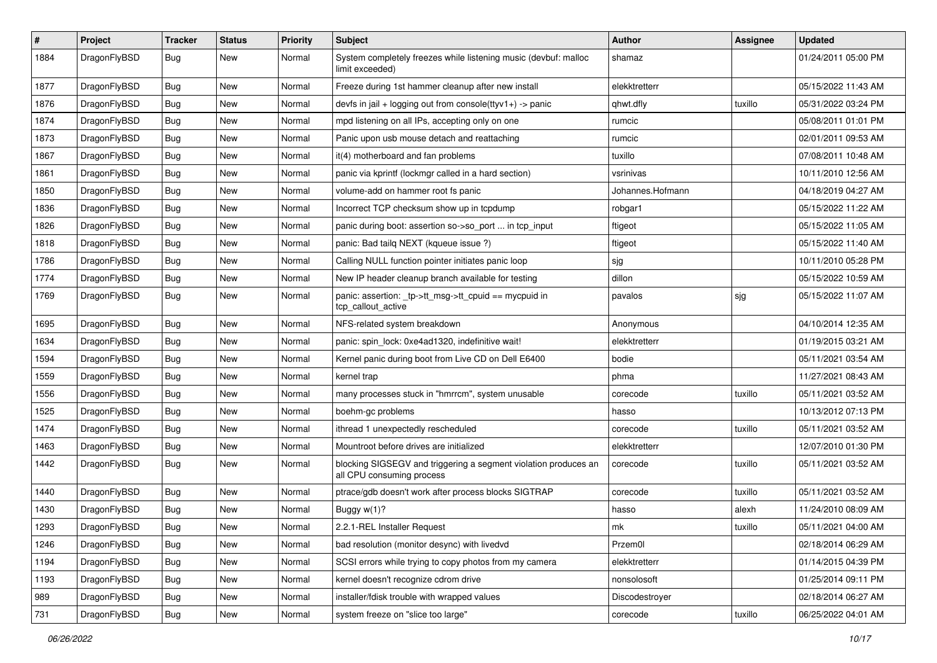| $\vert$ # | Project      | <b>Tracker</b> | <b>Status</b> | <b>Priority</b> | Subject                                                                                      | Author           | Assignee | <b>Updated</b>      |
|-----------|--------------|----------------|---------------|-----------------|----------------------------------------------------------------------------------------------|------------------|----------|---------------------|
| 1884      | DragonFlyBSD | <b>Bug</b>     | New           | Normal          | System completely freezes while listening music (devbuf: malloc<br>limit exceeded)           | shamaz           |          | 01/24/2011 05:00 PM |
| 1877      | DragonFlyBSD | <b>Bug</b>     | <b>New</b>    | Normal          | Freeze during 1st hammer cleanup after new install                                           | elekktretterr    |          | 05/15/2022 11:43 AM |
| 1876      | DragonFlyBSD | Bug            | New           | Normal          | devfs in jail + logging out from console(ttyv1+) -> panic                                    | qhwt.dfly        | tuxillo  | 05/31/2022 03:24 PM |
| 1874      | DragonFlyBSD | <b>Bug</b>     | <b>New</b>    | Normal          | mpd listening on all IPs, accepting only on one                                              | rumcic           |          | 05/08/2011 01:01 PM |
| 1873      | DragonFlyBSD | <b>Bug</b>     | New           | Normal          | Panic upon usb mouse detach and reattaching                                                  | rumcic           |          | 02/01/2011 09:53 AM |
| 1867      | DragonFlyBSD | Bug            | <b>New</b>    | Normal          | it(4) motherboard and fan problems                                                           | tuxillo          |          | 07/08/2011 10:48 AM |
| 1861      | DragonFlyBSD | <b>Bug</b>     | New           | Normal          | panic via kprintf (lockmgr called in a hard section)                                         | vsrinivas        |          | 10/11/2010 12:56 AM |
| 1850      | DragonFlyBSD | Bug            | New           | Normal          | volume-add on hammer root fs panic                                                           | Johannes.Hofmann |          | 04/18/2019 04:27 AM |
| 1836      | DragonFlyBSD | <b>Bug</b>     | <b>New</b>    | Normal          | Incorrect TCP checksum show up in tcpdump                                                    | robgar1          |          | 05/15/2022 11:22 AM |
| 1826      | DragonFlyBSD | Bug            | New           | Normal          | panic during boot: assertion so->so_port  in tcp_input                                       | ftigeot          |          | 05/15/2022 11:05 AM |
| 1818      | DragonFlyBSD | Bug            | New           | Normal          | panic: Bad tailg NEXT (kqueue issue ?)                                                       | ftigeot          |          | 05/15/2022 11:40 AM |
| 1786      | DragonFlyBSD | <b>Bug</b>     | New           | Normal          | Calling NULL function pointer initiates panic loop                                           | sjg              |          | 10/11/2010 05:28 PM |
| 1774      | DragonFlyBSD | Bug            | New           | Normal          | New IP header cleanup branch available for testing                                           | dillon           |          | 05/15/2022 10:59 AM |
| 1769      | DragonFlyBSD | <b>Bug</b>     | New           | Normal          | panic: assertion: _tp->tt_msg->tt_cpuid == mycpuid in<br>tcp callout active                  | pavalos          | sjg      | 05/15/2022 11:07 AM |
| 1695      | DragonFlyBSD | Bug            | <b>New</b>    | Normal          | NFS-related system breakdown                                                                 | Anonymous        |          | 04/10/2014 12:35 AM |
| 1634      | DragonFlyBSD | Bug            | <b>New</b>    | Normal          | panic: spin lock: 0xe4ad1320, indefinitive wait!                                             | elekktretterr    |          | 01/19/2015 03:21 AM |
| 1594      | DragonFlyBSD | <b>Bug</b>     | New           | Normal          | Kernel panic during boot from Live CD on Dell E6400                                          | bodie            |          | 05/11/2021 03:54 AM |
| 1559      | DragonFlyBSD | Bug            | <b>New</b>    | Normal          | kernel trap                                                                                  | phma             |          | 11/27/2021 08:43 AM |
| 1556      | DragonFlyBSD | Bug            | New           | Normal          | many processes stuck in "hmrrcm", system unusable                                            | corecode         | tuxillo  | 05/11/2021 03:52 AM |
| 1525      | DragonFlyBSD | <b>Bug</b>     | New           | Normal          | boehm-gc problems                                                                            | hasso            |          | 10/13/2012 07:13 PM |
| 1474      | DragonFlyBSD | <b>Bug</b>     | New           | Normal          | ithread 1 unexpectedly rescheduled                                                           | corecode         | tuxillo  | 05/11/2021 03:52 AM |
| 1463      | DragonFlyBSD | <b>Bug</b>     | New           | Normal          | Mountroot before drives are initialized                                                      | elekktretterr    |          | 12/07/2010 01:30 PM |
| 1442      | DragonFlyBSD | Bug            | New           | Normal          | blocking SIGSEGV and triggering a segment violation produces an<br>all CPU consuming process | corecode         | tuxillo  | 05/11/2021 03:52 AM |
| 1440      | DragonFlyBSD | <b>Bug</b>     | New           | Normal          | ptrace/gdb doesn't work after process blocks SIGTRAP                                         | corecode         | tuxillo  | 05/11/2021 03:52 AM |
| 1430      | DragonFlyBSD | Bug            | New           | Normal          | Buggy w(1)?                                                                                  | hasso            | alexh    | 11/24/2010 08:09 AM |
| 1293      | DragonFlyBSD | Bug            | New           | Normal          | 2.2.1-REL Installer Request                                                                  | mk               | tuxillo  | 05/11/2021 04:00 AM |
| 1246      | DragonFlyBSD | <b>Bug</b>     | New           | Normal          | bad resolution (monitor desync) with livedvd                                                 | Przem0l          |          | 02/18/2014 06:29 AM |
| 1194      | DragonFlyBSD | Bug            | New           | Normal          | SCSI errors while trying to copy photos from my camera                                       | elekktretterr    |          | 01/14/2015 04:39 PM |
| 1193      | DragonFlyBSD | <b>Bug</b>     | New           | Normal          | kernel doesn't recognize cdrom drive                                                         | nonsolosoft      |          | 01/25/2014 09:11 PM |
| 989       | DragonFlyBSD | Bug            | New           | Normal          | installer/fdisk trouble with wrapped values                                                  | Discodestroyer   |          | 02/18/2014 06:27 AM |
| 731       | DragonFlyBSD | Bug            | New           | Normal          | system freeze on "slice too large"                                                           | corecode         | tuxillo  | 06/25/2022 04:01 AM |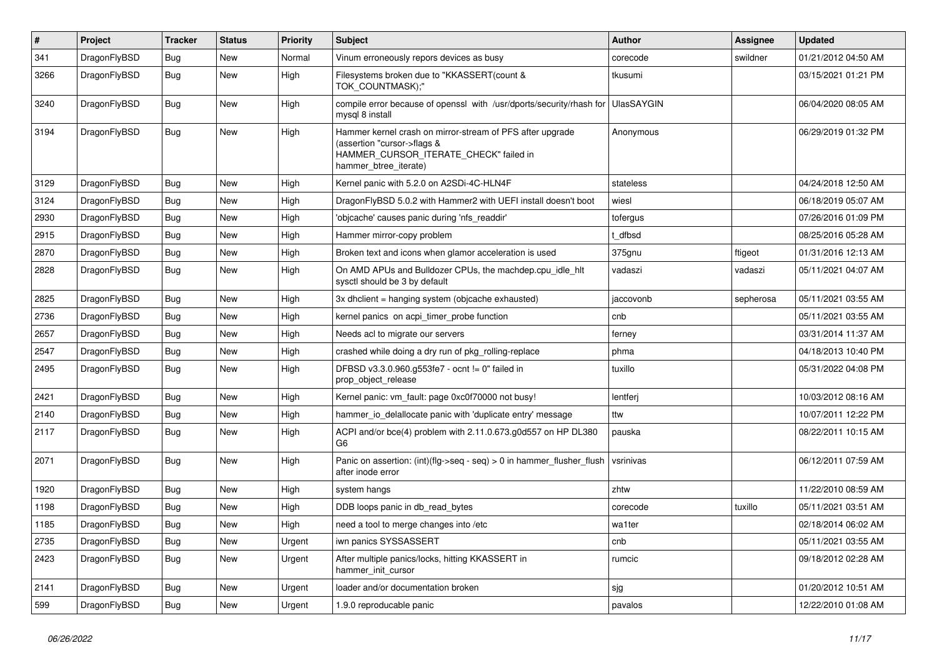| $\vert$ # | Project      | <b>Tracker</b> | <b>Status</b> | <b>Priority</b> | <b>Subject</b>                                                                                                                                              | <b>Author</b>     | Assignee  | <b>Updated</b>      |
|-----------|--------------|----------------|---------------|-----------------|-------------------------------------------------------------------------------------------------------------------------------------------------------------|-------------------|-----------|---------------------|
| 341       | DragonFlyBSD | Bug            | <b>New</b>    | Normal          | Vinum erroneously repors devices as busy                                                                                                                    | corecode          | swildner  | 01/21/2012 04:50 AM |
| 3266      | DragonFlyBSD | Bug            | <b>New</b>    | High            | Filesystems broken due to "KKASSERT(count &<br>TOK_COUNTMASK);"                                                                                             | tkusumi           |           | 03/15/2021 01:21 PM |
| 3240      | DragonFlyBSD | <b>Bug</b>     | New           | High            | compile error because of openssl with /usr/dports/security/rhash for<br>mysql 8 install                                                                     | <b>UlasSAYGIN</b> |           | 06/04/2020 08:05 AM |
| 3194      | DragonFlyBSD | Bug            | New           | High            | Hammer kernel crash on mirror-stream of PFS after upgrade<br>(assertion "cursor->flags &<br>HAMMER_CURSOR_ITERATE_CHECK" failed in<br>hammer btree iterate) | Anonymous         |           | 06/29/2019 01:32 PM |
| 3129      | DragonFlyBSD | Bug            | New           | High            | Kernel panic with 5.2.0 on A2SDi-4C-HLN4F                                                                                                                   | stateless         |           | 04/24/2018 12:50 AM |
| 3124      | DragonFlyBSD | Bug            | New           | High            | DragonFlyBSD 5.0.2 with Hammer2 with UEFI install doesn't boot                                                                                              | wiesl             |           | 06/18/2019 05:07 AM |
| 2930      | DragonFlyBSD | <b>Bug</b>     | <b>New</b>    | High            | 'objcache' causes panic during 'nfs readdir'                                                                                                                | tofergus          |           | 07/26/2016 01:09 PM |
| 2915      | DragonFlyBSD | <b>Bug</b>     | New           | High            | Hammer mirror-copy problem                                                                                                                                  | t dfbsd           |           | 08/25/2016 05:28 AM |
| 2870      | DragonFlyBSD | <b>Bug</b>     | New           | High            | Broken text and icons when glamor acceleration is used                                                                                                      | 375gnu            | ftigeot   | 01/31/2016 12:13 AM |
| 2828      | DragonFlyBSD | <b>Bug</b>     | New           | High            | On AMD APUs and Bulldozer CPUs, the machdep.cpu idle hlt<br>sysctl should be 3 by default                                                                   | vadaszi           | vadaszi   | 05/11/2021 04:07 AM |
| 2825      | DragonFlyBSD | <b>Bug</b>     | <b>New</b>    | High            | 3x dhclient = hanging system (objcache exhausted)                                                                                                           | jaccovonb         | sepherosa | 05/11/2021 03:55 AM |
| 2736      | DragonFlyBSD | <b>Bug</b>     | <b>New</b>    | High            | kernel panics on acpi_timer_probe function                                                                                                                  | cnb               |           | 05/11/2021 03:55 AM |
| 2657      | DragonFlyBSD | Bug            | <b>New</b>    | High            | Needs acl to migrate our servers                                                                                                                            | ferney            |           | 03/31/2014 11:37 AM |
| 2547      | DragonFlyBSD | Bug            | <b>New</b>    | High            | crashed while doing a dry run of pkg rolling-replace                                                                                                        | phma              |           | 04/18/2013 10:40 PM |
| 2495      | DragonFlyBSD | Bug            | New           | High            | DFBSD v3.3.0.960.g553fe7 - ocnt != 0" failed in<br>prop object release                                                                                      | tuxillo           |           | 05/31/2022 04:08 PM |
| 2421      | DragonFlyBSD | Bug            | New           | High            | Kernel panic: vm fault: page 0xc0f70000 not busy!                                                                                                           | lentferj          |           | 10/03/2012 08:16 AM |
| 2140      | DragonFlyBSD | <b>Bug</b>     | New           | High            | hammer io delallocate panic with 'duplicate entry' message                                                                                                  | ttw               |           | 10/07/2011 12:22 PM |
| 2117      | DragonFlyBSD | <b>Bug</b>     | New           | High            | ACPI and/or bce(4) problem with 2.11.0.673.g0d557 on HP DL380<br>G <sub>6</sub>                                                                             | pauska            |           | 08/22/2011 10:15 AM |
| 2071      | DragonFlyBSD | <b>Bug</b>     | <b>New</b>    | High            | Panic on assertion: (int)(flg->seq - seq) > 0 in hammer_flusher_flush<br>after inode error                                                                  | vsrinivas         |           | 06/12/2011 07:59 AM |
| 1920      | DragonFlyBSD | Bug            | <b>New</b>    | High            | system hangs                                                                                                                                                | zhtw              |           | 11/22/2010 08:59 AM |
| 1198      | DragonFlyBSD | Bug            | <b>New</b>    | High            | DDB loops panic in db read bytes                                                                                                                            | corecode          | tuxillo   | 05/11/2021 03:51 AM |
| 1185      | DragonFlyBSD | Bug            | New           | High            | need a tool to merge changes into /etc                                                                                                                      | wa1ter            |           | 02/18/2014 06:02 AM |
| 2735      | DragonFlyBSD | Bug            | <b>New</b>    | Urgent          | iwn panics SYSSASSERT                                                                                                                                       | cnb               |           | 05/11/2021 03:55 AM |
| 2423      | DragonFlyBSD | <b>Bug</b>     | New           | Urgent          | After multiple panics/locks, hitting KKASSERT in<br>hammer init cursor                                                                                      | rumcic            |           | 09/18/2012 02:28 AM |
| 2141      | DragonFlyBSD | Bug            | <b>New</b>    | Urgent          | loader and/or documentation broken                                                                                                                          | sjg               |           | 01/20/2012 10:51 AM |
| 599       | DragonFlyBSD | <b>Bug</b>     | <b>New</b>    | Urgent          | 1.9.0 reproducable panic                                                                                                                                    | pavalos           |           | 12/22/2010 01:08 AM |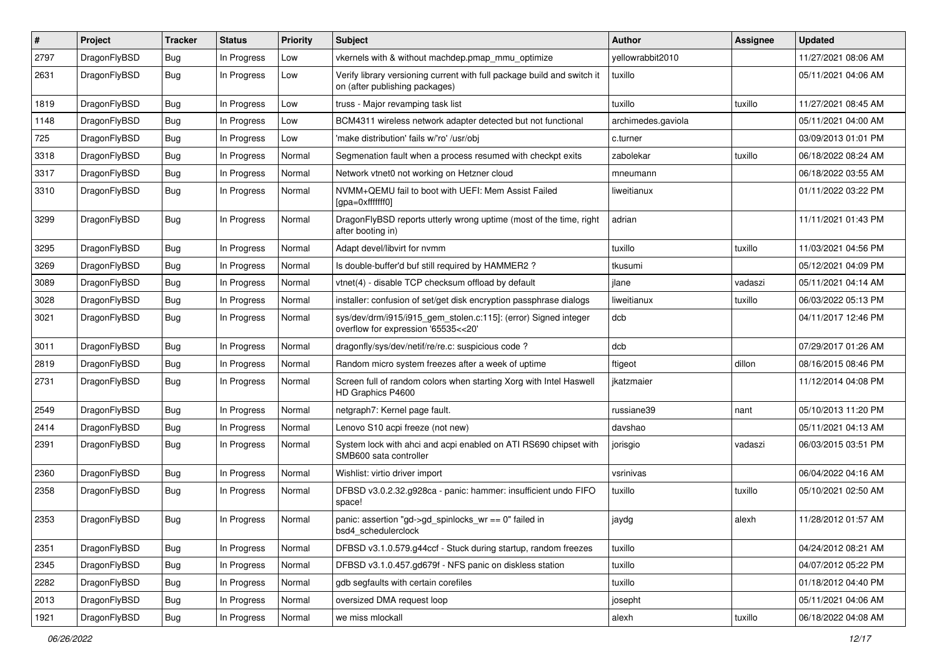| #    | Project      | <b>Tracker</b> | <b>Status</b> | <b>Priority</b> | Subject                                                                                                   | <b>Author</b>      | <b>Assignee</b> | <b>Updated</b>      |
|------|--------------|----------------|---------------|-----------------|-----------------------------------------------------------------------------------------------------------|--------------------|-----------------|---------------------|
| 2797 | DragonFlyBSD | <b>Bug</b>     | In Progress   | Low             | vkernels with & without machdep.pmap mmu optimize                                                         | yellowrabbit2010   |                 | 11/27/2021 08:06 AM |
| 2631 | DragonFlyBSD | Bug            | In Progress   | Low             | Verify library versioning current with full package build and switch it<br>on (after publishing packages) | tuxillo            |                 | 05/11/2021 04:06 AM |
| 1819 | DragonFlyBSD | Bug            | In Progress   | Low             | truss - Major revamping task list                                                                         | tuxillo            | tuxillo         | 11/27/2021 08:45 AM |
| 1148 | DragonFlyBSD | <b>Bug</b>     | In Progress   | Low             | BCM4311 wireless network adapter detected but not functional                                              | archimedes.gaviola |                 | 05/11/2021 04:00 AM |
| 725  | DragonFlyBSD | <b>Bug</b>     | In Progress   | Low             | 'make distribution' fails w/'ro' /usr/obj                                                                 | c.turner           |                 | 03/09/2013 01:01 PM |
| 3318 | DragonFlyBSD | Bug            | In Progress   | Normal          | Segmenation fault when a process resumed with checkpt exits                                               | zabolekar          | tuxillo         | 06/18/2022 08:24 AM |
| 3317 | DragonFlyBSD | <b>Bug</b>     | In Progress   | Normal          | Network vtnet0 not working on Hetzner cloud                                                               | mneumann           |                 | 06/18/2022 03:55 AM |
| 3310 | DragonFlyBSD | Bug            | In Progress   | Normal          | NVMM+QEMU fail to boot with UEFI: Mem Assist Failed<br>[gpa=0xfffffff0]                                   | liweitianux        |                 | 01/11/2022 03:22 PM |
| 3299 | DragonFlyBSD | <b>Bug</b>     | In Progress   | Normal          | DragonFlyBSD reports utterly wrong uptime (most of the time, right<br>after booting in)                   | adrian             |                 | 11/11/2021 01:43 PM |
| 3295 | DragonFlyBSD | <b>Bug</b>     | In Progress   | Normal          | Adapt devel/libvirt for nvmm                                                                              | tuxillo            | tuxillo         | 11/03/2021 04:56 PM |
| 3269 | DragonFlyBSD | <b>Bug</b>     | In Progress   | Normal          | Is double-buffer'd buf still required by HAMMER2?                                                         | tkusumi            |                 | 05/12/2021 04:09 PM |
| 3089 | DragonFlyBSD | Bug            | In Progress   | Normal          | vtnet(4) - disable TCP checksum offload by default                                                        | jlane              | vadaszi         | 05/11/2021 04:14 AM |
| 3028 | DragonFlyBSD | <b>Bug</b>     | In Progress   | Normal          | installer: confusion of set/get disk encryption passphrase dialogs                                        | liweitianux        | tuxillo         | 06/03/2022 05:13 PM |
| 3021 | DragonFlyBSD | Bug            | In Progress   | Normal          | sys/dev/drm/i915/i915_gem_stolen.c:115]: (error) Signed integer<br>overflow for expression '65535<<20'    | dcb                |                 | 04/11/2017 12:46 PM |
| 3011 | DragonFlyBSD | <b>Bug</b>     | In Progress   | Normal          | dragonfly/sys/dev/netif/re/re.c: suspicious code?                                                         | dcb                |                 | 07/29/2017 01:26 AM |
| 2819 | DragonFlyBSD | <b>Bug</b>     | In Progress   | Normal          | Random micro system freezes after a week of uptime                                                        | ftigeot            | dillon          | 08/16/2015 08:46 PM |
| 2731 | DragonFlyBSD | Bug            | In Progress   | Normal          | Screen full of random colors when starting Xorg with Intel Haswell<br>HD Graphics P4600                   | jkatzmaier         |                 | 11/12/2014 04:08 PM |
| 2549 | DragonFlyBSD | Bug            | In Progress   | Normal          | netgraph7: Kernel page fault.                                                                             | russiane39         | nant            | 05/10/2013 11:20 PM |
| 2414 | DragonFlyBSD | <b>Bug</b>     | In Progress   | Normal          | Lenovo S10 acpi freeze (not new)                                                                          | davshao            |                 | 05/11/2021 04:13 AM |
| 2391 | DragonFlyBSD | Bug            | In Progress   | Normal          | System lock with ahci and acpi enabled on ATI RS690 chipset with<br>SMB600 sata controller                | jorisgio           | vadaszi         | 06/03/2015 03:51 PM |
| 2360 | DragonFlyBSD | <b>Bug</b>     | In Progress   | Normal          | Wishlist: virtio driver import                                                                            | vsrinivas          |                 | 06/04/2022 04:16 AM |
| 2358 | DragonFlyBSD | Bug            | In Progress   | Normal          | DFBSD v3.0.2.32.g928ca - panic: hammer: insufficient undo FIFO<br>space!                                  | tuxillo            | tuxillo         | 05/10/2021 02:50 AM |
| 2353 | DragonFlyBSD | <b>Bug</b>     | In Progress   | Normal          | panic: assertion "gd->gd_spinlocks_wr == 0" failed in<br>bsd4_schedulerclock                              | jaydg              | alexh           | 11/28/2012 01:57 AM |
| 2351 | DragonFlyBSD | <b>Bug</b>     | In Progress   | Normal          | DFBSD v3.1.0.579.g44ccf - Stuck during startup, random freezes                                            | tuxillo            |                 | 04/24/2012 08:21 AM |
| 2345 | DragonFlyBSD | <b>Bug</b>     | In Progress   | Normal          | DFBSD v3.1.0.457.gd679f - NFS panic on diskless station                                                   | tuxillo            |                 | 04/07/2012 05:22 PM |
| 2282 | DragonFlyBSD | Bug            | In Progress   | Normal          | gdb segfaults with certain corefiles                                                                      | tuxillo            |                 | 01/18/2012 04:40 PM |
| 2013 | DragonFlyBSD | <b>Bug</b>     | In Progress   | Normal          | oversized DMA request loop                                                                                | josepht            |                 | 05/11/2021 04:06 AM |
| 1921 | DragonFlyBSD | Bug            | In Progress   | Normal          | we miss mlockall                                                                                          | alexh              | tuxillo         | 06/18/2022 04:08 AM |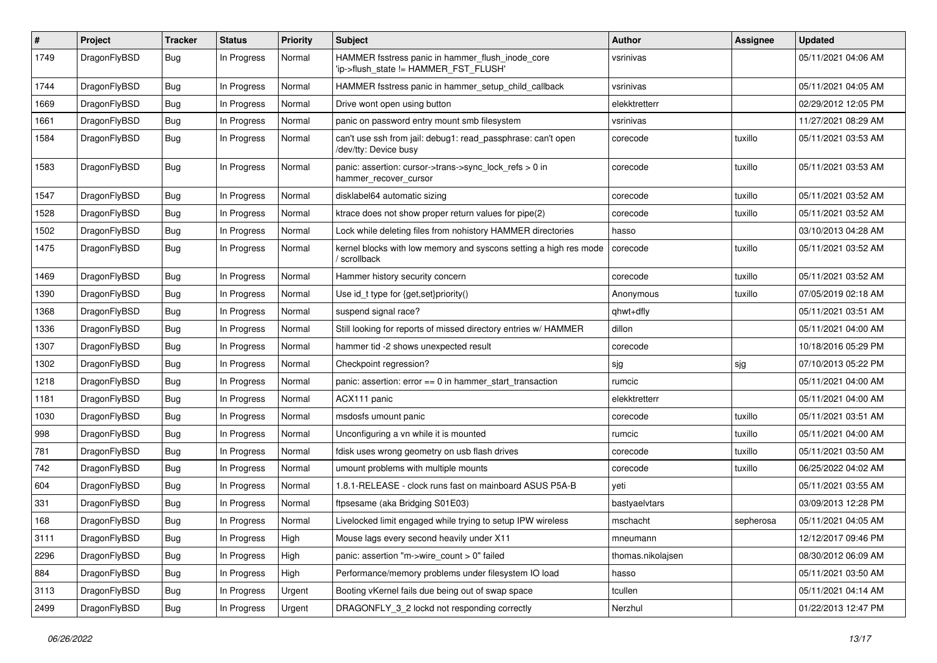| $\pmb{\#}$ | Project      | <b>Tracker</b> | <b>Status</b> | <b>Priority</b> | <b>Subject</b>                                                                            | <b>Author</b>     | <b>Assignee</b> | <b>Updated</b>      |
|------------|--------------|----------------|---------------|-----------------|-------------------------------------------------------------------------------------------|-------------------|-----------------|---------------------|
| 1749       | DragonFlyBSD | Bug            | In Progress   | Normal          | HAMMER fsstress panic in hammer_flush_inode_core<br>'ip->flush_state != HAMMER_FST_FLUSH' | vsrinivas         |                 | 05/11/2021 04:06 AM |
| 1744       | DragonFlyBSD | <b>Bug</b>     | In Progress   | Normal          | HAMMER fsstress panic in hammer setup child callback                                      | vsrinivas         |                 | 05/11/2021 04:05 AM |
| 1669       | DragonFlyBSD | Bug            | In Progress   | Normal          | Drive wont open using button                                                              | elekktretterr     |                 | 02/29/2012 12:05 PM |
| 1661       | DragonFlyBSD | <b>Bug</b>     | In Progress   | Normal          | panic on password entry mount smb filesystem                                              | vsrinivas         |                 | 11/27/2021 08:29 AM |
| 1584       | DragonFlyBSD | <b>Bug</b>     | In Progress   | Normal          | can't use ssh from jail: debug1: read_passphrase: can't open<br>/dev/tty: Device busy     | corecode          | tuxillo         | 05/11/2021 03:53 AM |
| 1583       | DragonFlyBSD | <b>Bug</b>     | In Progress   | Normal          | panic: assertion: cursor->trans->sync_lock_refs > 0 in<br>hammer_recover_cursor           | corecode          | tuxillo         | 05/11/2021 03:53 AM |
| 1547       | DragonFlyBSD | <b>Bug</b>     | In Progress   | Normal          | disklabel64 automatic sizing                                                              | corecode          | tuxillo         | 05/11/2021 03:52 AM |
| 1528       | DragonFlyBSD | <b>Bug</b>     | In Progress   | Normal          | ktrace does not show proper return values for pipe(2)                                     | corecode          | tuxillo         | 05/11/2021 03:52 AM |
| 1502       | DragonFlyBSD | Bug            | In Progress   | Normal          | Lock while deleting files from nohistory HAMMER directories                               | hasso             |                 | 03/10/2013 04:28 AM |
| 1475       | DragonFlyBSD | <b>Bug</b>     | In Progress   | Normal          | kernel blocks with low memory and syscons setting a high res mode<br>/ scrollback         | corecode          | tuxillo         | 05/11/2021 03:52 AM |
| 1469       | DragonFlyBSD | Bug            | In Progress   | Normal          | Hammer history security concern                                                           | corecode          | tuxillo         | 05/11/2021 03:52 AM |
| 1390       | DragonFlyBSD | Bug            | In Progress   | Normal          | Use id_t type for {get,set}priority()                                                     | Anonymous         | tuxillo         | 07/05/2019 02:18 AM |
| 1368       | DragonFlyBSD | <b>Bug</b>     | In Progress   | Normal          | suspend signal race?                                                                      | qhwt+dfly         |                 | 05/11/2021 03:51 AM |
| 1336       | DragonFlyBSD | <b>Bug</b>     | In Progress   | Normal          | Still looking for reports of missed directory entries w/ HAMMER                           | dillon            |                 | 05/11/2021 04:00 AM |
| 1307       | DragonFlyBSD | <b>Bug</b>     | In Progress   | Normal          | hammer tid -2 shows unexpected result                                                     | corecode          |                 | 10/18/2016 05:29 PM |
| 1302       | DragonFlyBSD | <b>Bug</b>     | In Progress   | Normal          | Checkpoint regression?                                                                    | sjg               | sjg             | 07/10/2013 05:22 PM |
| 1218       | DragonFlyBSD | <b>Bug</b>     | In Progress   | Normal          | panic: assertion: $error == 0$ in hammer start transaction                                | rumcic            |                 | 05/11/2021 04:00 AM |
| 1181       | DragonFlyBSD | <b>Bug</b>     | In Progress   | Normal          | ACX111 panic                                                                              | elekktretterr     |                 | 05/11/2021 04:00 AM |
| 1030       | DragonFlyBSD | <b>Bug</b>     | In Progress   | Normal          | msdosfs umount panic                                                                      | corecode          | tuxillo         | 05/11/2021 03:51 AM |
| 998        | DragonFlyBSD | <b>Bug</b>     | In Progress   | Normal          | Unconfiguring a vn while it is mounted                                                    | rumcic            | tuxillo         | 05/11/2021 04:00 AM |
| 781        | DragonFlyBSD | <b>Bug</b>     | In Progress   | Normal          | fdisk uses wrong geometry on usb flash drives                                             | corecode          | tuxillo         | 05/11/2021 03:50 AM |
| 742        | DragonFlyBSD | <b>Bug</b>     | In Progress   | Normal          | umount problems with multiple mounts                                                      | corecode          | tuxillo         | 06/25/2022 04:02 AM |
| 604        | DragonFlyBSD | <b>Bug</b>     | In Progress   | Normal          | 1.8.1-RELEASE - clock runs fast on mainboard ASUS P5A-B                                   | yeti              |                 | 05/11/2021 03:55 AM |
| 331        | DragonFlyBSD | <b>Bug</b>     | In Progress   | Normal          | ftpsesame (aka Bridging S01E03)                                                           | bastyaelvtars     |                 | 03/09/2013 12:28 PM |
| 168        | DragonFlyBSD | <b>Bug</b>     | In Progress   | Normal          | Livelocked limit engaged while trying to setup IPW wireless                               | mschacht          | sepherosa       | 05/11/2021 04:05 AM |
| 3111       | DragonFlyBSD | <b>Bug</b>     | In Progress   | High            | Mouse lags every second heavily under X11                                                 | mneumann          |                 | 12/12/2017 09:46 PM |
| 2296       | DragonFlyBSD | <b>Bug</b>     | In Progress   | High            | panic: assertion "m->wire_count > 0" failed                                               | thomas.nikolajsen |                 | 08/30/2012 06:09 AM |
| 884        | DragonFlyBSD | <b>Bug</b>     | In Progress   | High            | Performance/memory problems under filesystem IO load                                      | hasso             |                 | 05/11/2021 03:50 AM |
| 3113       | DragonFlyBSD | <b>Bug</b>     | In Progress   | Urgent          | Booting vKernel fails due being out of swap space                                         | tcullen           |                 | 05/11/2021 04:14 AM |
| 2499       | DragonFlyBSD | Bug            | In Progress   | Urgent          | DRAGONFLY_3_2 lockd not responding correctly                                              | Nerzhul           |                 | 01/22/2013 12:47 PM |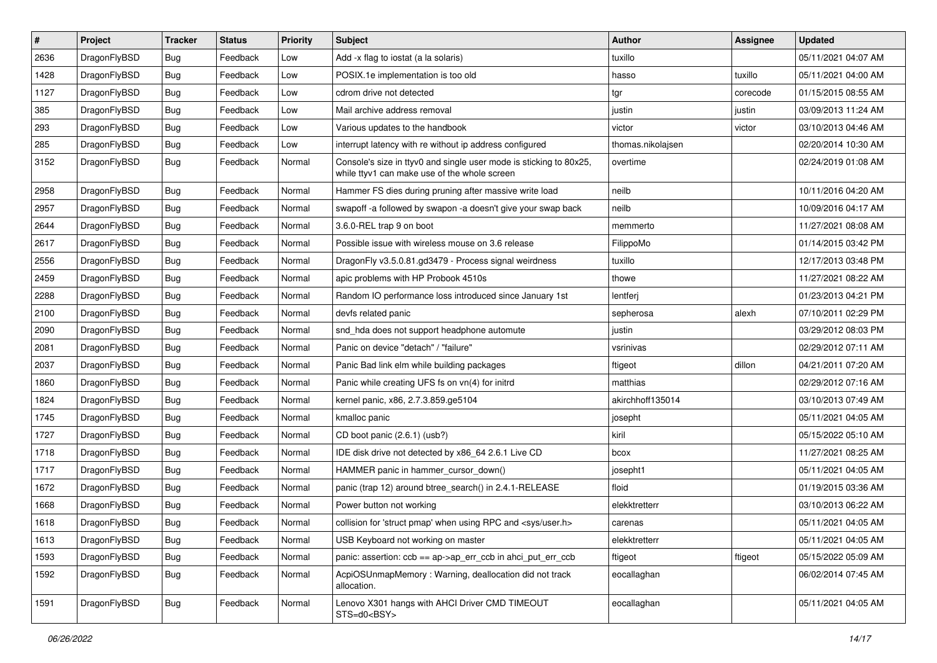| $\vert$ # | Project      | <b>Tracker</b> | <b>Status</b> | <b>Priority</b> | Subject                                                                                                            | <b>Author</b>     | Assignee | <b>Updated</b>      |
|-----------|--------------|----------------|---------------|-----------------|--------------------------------------------------------------------------------------------------------------------|-------------------|----------|---------------------|
| 2636      | DragonFlyBSD | Bug            | Feedback      | Low             | Add -x flag to iostat (a la solaris)                                                                               | tuxillo           |          | 05/11/2021 04:07 AM |
| 1428      | DragonFlyBSD | Bug            | Feedback      | Low             | POSIX.1e implementation is too old                                                                                 | hasso             | tuxillo  | 05/11/2021 04:00 AM |
| 1127      | DragonFlyBSD | <b>Bug</b>     | Feedback      | Low             | cdrom drive not detected                                                                                           | tgr               | corecode | 01/15/2015 08:55 AM |
| 385       | DragonFlyBSD | Bug            | Feedback      | Low             | Mail archive address removal                                                                                       | justin            | justin   | 03/09/2013 11:24 AM |
| 293       | DragonFlyBSD | Bug            | Feedback      | Low             | Various updates to the handbook                                                                                    | victor            | victor   | 03/10/2013 04:46 AM |
| 285       | DragonFlyBSD | Bug            | Feedback      | Low             | interrupt latency with re without ip address configured                                                            | thomas.nikolajsen |          | 02/20/2014 10:30 AM |
| 3152      | DragonFlyBSD | Bug            | Feedback      | Normal          | Console's size in ttyv0 and single user mode is sticking to 80x25,<br>while ttyv1 can make use of the whole screen | overtime          |          | 02/24/2019 01:08 AM |
| 2958      | DragonFlyBSD | Bug            | Feedback      | Normal          | Hammer FS dies during pruning after massive write load                                                             | neilb             |          | 10/11/2016 04:20 AM |
| 2957      | DragonFlyBSD | Bug            | Feedback      | Normal          | swapoff -a followed by swapon -a doesn't give your swap back                                                       | neilb             |          | 10/09/2016 04:17 AM |
| 2644      | DragonFlyBSD | Bug            | Feedback      | Normal          | 3.6.0-REL trap 9 on boot                                                                                           | memmerto          |          | 11/27/2021 08:08 AM |
| 2617      | DragonFlyBSD | Bug            | Feedback      | Normal          | Possible issue with wireless mouse on 3.6 release                                                                  | FilippoMo         |          | 01/14/2015 03:42 PM |
| 2556      | DragonFlyBSD | Bug            | Feedback      | Normal          | DragonFly v3.5.0.81.gd3479 - Process signal weirdness                                                              | tuxillo           |          | 12/17/2013 03:48 PM |
| 2459      | DragonFlyBSD | Bug            | Feedback      | Normal          | apic problems with HP Probook 4510s                                                                                | thowe             |          | 11/27/2021 08:22 AM |
| 2288      | DragonFlyBSD | Bug            | Feedback      | Normal          | Random IO performance loss introduced since January 1st                                                            | lentferj          |          | 01/23/2013 04:21 PM |
| 2100      | DragonFlyBSD | Bug            | Feedback      | Normal          | devfs related panic                                                                                                | sepherosa         | alexh    | 07/10/2011 02:29 PM |
| 2090      | DragonFlyBSD | Bug            | Feedback      | Normal          | snd_hda does not support headphone automute                                                                        | justin            |          | 03/29/2012 08:03 PM |
| 2081      | DragonFlyBSD | Bug            | Feedback      | Normal          | Panic on device "detach" / "failure"                                                                               | vsrinivas         |          | 02/29/2012 07:11 AM |
| 2037      | DragonFlyBSD | Bug            | Feedback      | Normal          | Panic Bad link elm while building packages                                                                         | ftigeot           | dillon   | 04/21/2011 07:20 AM |
| 1860      | DragonFlyBSD | Bug            | Feedback      | Normal          | Panic while creating UFS fs on vn(4) for initrd                                                                    | matthias          |          | 02/29/2012 07:16 AM |
| 1824      | DragonFlyBSD | Bug            | Feedback      | Normal          | kernel panic, x86, 2.7.3.859.ge5104                                                                                | akirchhoff135014  |          | 03/10/2013 07:49 AM |
| 1745      | DragonFlyBSD | Bug            | Feedback      | Normal          | kmalloc panic                                                                                                      | josepht           |          | 05/11/2021 04:05 AM |
| 1727      | DragonFlyBSD | Bug            | Feedback      | Normal          | CD boot panic (2.6.1) (usb?)                                                                                       | kiril             |          | 05/15/2022 05:10 AM |
| 1718      | DragonFlyBSD | <b>Bug</b>     | Feedback      | Normal          | IDE disk drive not detected by x86 64 2.6.1 Live CD                                                                | bcox              |          | 11/27/2021 08:25 AM |
| 1717      | DragonFlyBSD | Bug            | Feedback      | Normal          | HAMMER panic in hammer_cursor_down()                                                                               | josepht1          |          | 05/11/2021 04:05 AM |
| 1672      | DragonFlyBSD | <b>Bug</b>     | Feedback      | Normal          | panic (trap 12) around btree search() in 2.4.1-RELEASE                                                             | floid             |          | 01/19/2015 03:36 AM |
| 1668      | DragonFlyBSD | Bug            | Feedback      | Normal          | Power button not working                                                                                           | elekktretterr     |          | 03/10/2013 06:22 AM |
| 1618      | DragonFlyBSD | <b>Bug</b>     | Feedback      | Normal          | collision for 'struct pmap' when using RPC and <sys user.h=""></sys>                                               | carenas           |          | 05/11/2021 04:05 AM |
| 1613      | DragonFlyBSD | <b>Bug</b>     | Feedback      | Normal          | USB Keyboard not working on master                                                                                 | elekktretterr     |          | 05/11/2021 04:05 AM |
| 1593      | DragonFlyBSD | <b>Bug</b>     | Feedback      | Normal          | panic: assertion: $ccb = ap$ ->ap err $ccb$ in ahci put err $ccb$                                                  | ftigeot           | ftigeot  | 05/15/2022 05:09 AM |
| 1592      | DragonFlyBSD | Bug            | Feedback      | Normal          | AcpiOSUnmapMemory: Warning, deallocation did not track<br>allocation.                                              | eocallaghan       |          | 06/02/2014 07:45 AM |
| 1591      | DragonFlyBSD | <b>Bug</b>     | Feedback      | Normal          | Lenovo X301 hangs with AHCI Driver CMD TIMEOUT<br>STS=d0 <bsy></bsy>                                               | eocallaghan       |          | 05/11/2021 04:05 AM |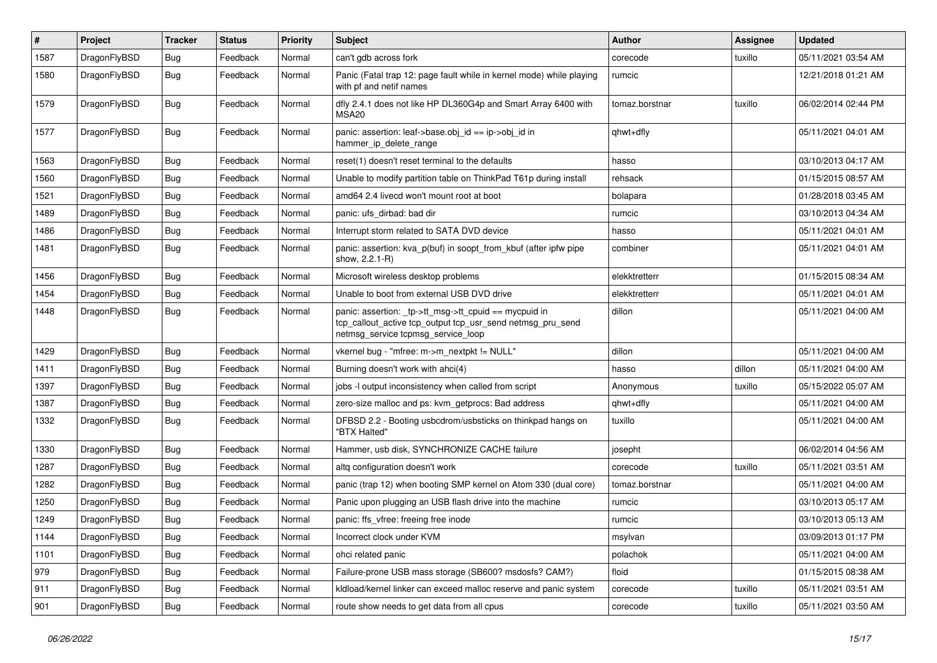| $\pmb{\#}$ | Project      | <b>Tracker</b> | <b>Status</b> | <b>Priority</b> | <b>Subject</b>                                                                                                                                            | Author         | Assignee | <b>Updated</b>      |
|------------|--------------|----------------|---------------|-----------------|-----------------------------------------------------------------------------------------------------------------------------------------------------------|----------------|----------|---------------------|
| 1587       | DragonFlyBSD | Bug            | Feedback      | Normal          | can't gdb across fork                                                                                                                                     | corecode       | tuxillo  | 05/11/2021 03:54 AM |
| 1580       | DragonFlyBSD | Bug            | Feedback      | Normal          | Panic (Fatal trap 12: page fault while in kernel mode) while playing<br>with pf and netif names                                                           | rumcic         |          | 12/21/2018 01:21 AM |
| 1579       | DragonFlyBSD | Bug            | Feedback      | Normal          | dfly 2.4.1 does not like HP DL360G4p and Smart Array 6400 with<br>MSA <sub>20</sub>                                                                       | tomaz.borstnar | tuxillo  | 06/02/2014 02:44 PM |
| 1577       | DragonFlyBSD | Bug            | Feedback      | Normal          | panic: assertion: leaf->base.obj_id == ip->obj_id in<br>hammer_ip_delete_range                                                                            | qhwt+dfly      |          | 05/11/2021 04:01 AM |
| 1563       | DragonFlyBSD | <b>Bug</b>     | Feedback      | Normal          | reset(1) doesn't reset terminal to the defaults                                                                                                           | hasso          |          | 03/10/2013 04:17 AM |
| 1560       | DragonFlyBSD | <b>Bug</b>     | Feedback      | Normal          | Unable to modify partition table on ThinkPad T61p during install                                                                                          | rehsack        |          | 01/15/2015 08:57 AM |
| 1521       | DragonFlyBSD | Bug            | Feedback      | Normal          | amd64 2.4 livecd won't mount root at boot                                                                                                                 | bolapara       |          | 01/28/2018 03:45 AM |
| 1489       | DragonFlyBSD | <b>Bug</b>     | Feedback      | Normal          | panic: ufs dirbad: bad dir                                                                                                                                | rumcic         |          | 03/10/2013 04:34 AM |
| 1486       | DragonFlyBSD | <b>Bug</b>     | Feedback      | Normal          | Interrupt storm related to SATA DVD device                                                                                                                | hasso          |          | 05/11/2021 04:01 AM |
| 1481       | DragonFlyBSD | Bug            | Feedback      | Normal          | panic: assertion: kva_p(buf) in soopt_from_kbuf (after ipfw pipe<br>show, 2.2.1-R)                                                                        | combiner       |          | 05/11/2021 04:01 AM |
| 1456       | DragonFlyBSD | Bug            | Feedback      | Normal          | Microsoft wireless desktop problems                                                                                                                       | elekktretterr  |          | 01/15/2015 08:34 AM |
| 1454       | DragonFlyBSD | Bug            | Feedback      | Normal          | Unable to boot from external USB DVD drive                                                                                                                | elekktretterr  |          | 05/11/2021 04:01 AM |
| 1448       | DragonFlyBSD | Bug            | Feedback      | Normal          | panic: assertion: _tp->tt_msg->tt_cpuid == mycpuid in<br>tcp_callout_active tcp_output tcp_usr_send netmsg_pru_send<br>netmsg_service tcpmsg_service_loop | dillon         |          | 05/11/2021 04:00 AM |
| 1429       | DragonFlyBSD | Bug            | Feedback      | Normal          | vkernel bug - "mfree: m->m_nextpkt != NULL"                                                                                                               | dillon         |          | 05/11/2021 04:00 AM |
| 1411       | DragonFlyBSD | Bug            | Feedback      | Normal          | Burning doesn't work with ahci(4)                                                                                                                         | hasso          | dillon   | 05/11/2021 04:00 AM |
| 1397       | DragonFlyBSD | <b>Bug</b>     | Feedback      | Normal          | jobs -I output inconsistency when called from script                                                                                                      | Anonymous      | tuxillo  | 05/15/2022 05:07 AM |
| 1387       | DragonFlyBSD | Bug            | Feedback      | Normal          | zero-size malloc and ps: kvm_getprocs: Bad address                                                                                                        | qhwt+dfly      |          | 05/11/2021 04:00 AM |
| 1332       | DragonFlyBSD | Bug            | Feedback      | Normal          | DFBSD 2.2 - Booting usbcdrom/usbsticks on thinkpad hangs on<br>"BTX Halted"                                                                               | tuxillo        |          | 05/11/2021 04:00 AM |
| 1330       | DragonFlyBSD | Bug            | Feedback      | Normal          | Hammer, usb disk, SYNCHRONIZE CACHE failure                                                                                                               | josepht        |          | 06/02/2014 04:56 AM |
| 1287       | DragonFlyBSD | Bug            | Feedback      | Normal          | altg configuration doesn't work                                                                                                                           | corecode       | tuxillo  | 05/11/2021 03:51 AM |
| 1282       | DragonFlyBSD | <b>Bug</b>     | Feedback      | Normal          | panic (trap 12) when booting SMP kernel on Atom 330 (dual core)                                                                                           | tomaz.borstnar |          | 05/11/2021 04:00 AM |
| 1250       | DragonFlyBSD | <b>Bug</b>     | Feedback      | Normal          | Panic upon plugging an USB flash drive into the machine                                                                                                   | rumcic         |          | 03/10/2013 05:17 AM |
| 1249       | DragonFlyBSD | <b>Bug</b>     | Feedback      | Normal          | panic: ffs vfree: freeing free inode                                                                                                                      | rumcic         |          | 03/10/2013 05:13 AM |
| 1144       | DragonFlyBSD | <b>Bug</b>     | Feedback      | Normal          | Incorrect clock under KVM                                                                                                                                 | msylvan        |          | 03/09/2013 01:17 PM |
| 1101       | DragonFlyBSD | <b>Bug</b>     | Feedback      | Normal          | ohci related panic                                                                                                                                        | polachok       |          | 05/11/2021 04:00 AM |
| 979        | DragonFlyBSD | <b>Bug</b>     | Feedback      | Normal          | Failure-prone USB mass storage (SB600? msdosfs? CAM?)                                                                                                     | floid          |          | 01/15/2015 08:38 AM |
| 911        | DragonFlyBSD | Bug            | Feedback      | Normal          | kldload/kernel linker can exceed malloc reserve and panic system                                                                                          | corecode       | tuxillo  | 05/11/2021 03:51 AM |
| 901        | DragonFlyBSD | <b>Bug</b>     | Feedback      | Normal          | route show needs to get data from all cpus                                                                                                                | corecode       | tuxillo  | 05/11/2021 03:50 AM |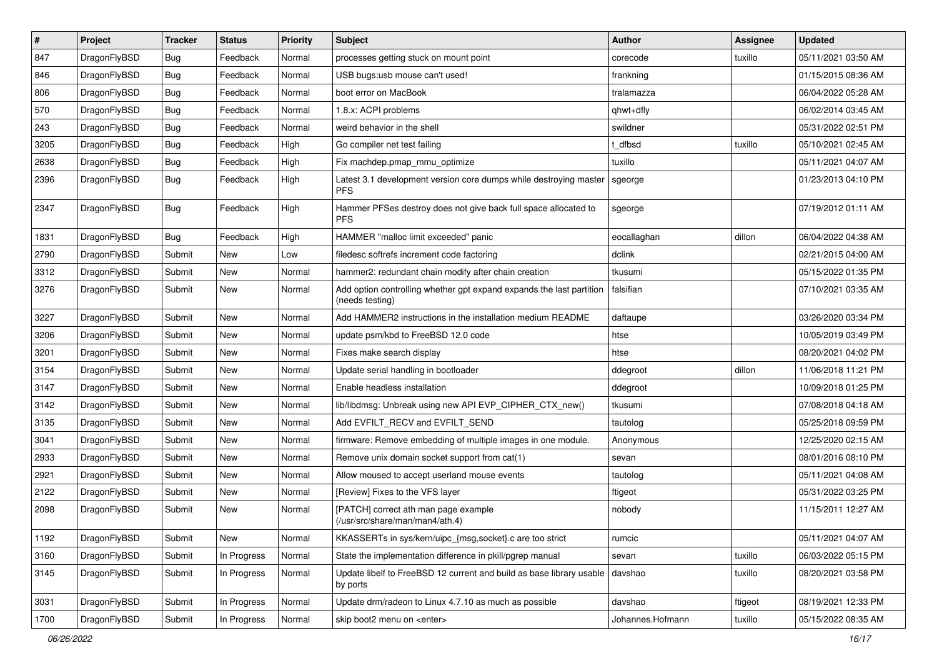| $\pmb{\#}$ | Project      | <b>Tracker</b> | <b>Status</b> | Priority | Subject                                                                                 | <b>Author</b>    | Assignee | <b>Updated</b>      |
|------------|--------------|----------------|---------------|----------|-----------------------------------------------------------------------------------------|------------------|----------|---------------------|
| 847        | DragonFlyBSD | Bug            | Feedback      | Normal   | processes getting stuck on mount point                                                  | corecode         | tuxillo  | 05/11/2021 03:50 AM |
| 846        | DragonFlyBSD | Bug            | Feedback      | Normal   | USB bugs:usb mouse can't used!                                                          | frankning        |          | 01/15/2015 08:36 AM |
| 806        | DragonFlyBSD | Bug            | Feedback      | Normal   | boot error on MacBook                                                                   | tralamazza       |          | 06/04/2022 05:28 AM |
| 570        | DragonFlyBSD | <b>Bug</b>     | Feedback      | Normal   | 1.8.x: ACPI problems                                                                    | qhwt+dfly        |          | 06/02/2014 03:45 AM |
| 243        | DragonFlyBSD | Bug            | Feedback      | Normal   | weird behavior in the shell                                                             | swildner         |          | 05/31/2022 02:51 PM |
| 3205       | DragonFlyBSD | Bug            | Feedback      | High     | Go compiler net test failing                                                            | t dfbsd          | tuxillo  | 05/10/2021 02:45 AM |
| 2638       | DragonFlyBSD | Bug            | Feedback      | High     | Fix machdep.pmap_mmu_optimize                                                           | tuxillo          |          | 05/11/2021 04:07 AM |
| 2396       | DragonFlyBSD | Bug            | Feedback      | High     | Latest 3.1 development version core dumps while destroying master<br><b>PFS</b>         | sgeorge          |          | 01/23/2013 04:10 PM |
| 2347       | DragonFlyBSD | Bug            | Feedback      | High     | Hammer PFSes destroy does not give back full space allocated to<br><b>PFS</b>           | sgeorge          |          | 07/19/2012 01:11 AM |
| 1831       | DragonFlyBSD | Bug            | Feedback      | High     | HAMMER "malloc limit exceeded" panic                                                    | eocallaghan      | dillon   | 06/04/2022 04:38 AM |
| 2790       | DragonFlyBSD | Submit         | <b>New</b>    | Low      | filedesc softrefs increment code factoring                                              | dclink           |          | 02/21/2015 04:00 AM |
| 3312       | DragonFlyBSD | Submit         | <b>New</b>    | Normal   | hammer2: redundant chain modify after chain creation                                    | tkusumi          |          | 05/15/2022 01:35 PM |
| 3276       | DragonFlyBSD | Submit         | <b>New</b>    | Normal   | Add option controlling whether gpt expand expands the last partition<br>(needs testing) | falsifian        |          | 07/10/2021 03:35 AM |
| 3227       | DragonFlyBSD | Submit         | <b>New</b>    | Normal   | Add HAMMER2 instructions in the installation medium README                              | daftaupe         |          | 03/26/2020 03:34 PM |
| 3206       | DragonFlyBSD | Submit         | <b>New</b>    | Normal   | update psm/kbd to FreeBSD 12.0 code                                                     | htse             |          | 10/05/2019 03:49 PM |
| 3201       | DragonFlyBSD | Submit         | <b>New</b>    | Normal   | Fixes make search display                                                               | htse             |          | 08/20/2021 04:02 PM |
| 3154       | DragonFlyBSD | Submit         | <b>New</b>    | Normal   | Update serial handling in bootloader                                                    | ddegroot         | dillon   | 11/06/2018 11:21 PM |
| 3147       | DragonFlyBSD | Submit         | <b>New</b>    | Normal   | Enable headless installation                                                            | ddegroot         |          | 10/09/2018 01:25 PM |
| 3142       | DragonFlyBSD | Submit         | New           | Normal   | lib/libdmsg: Unbreak using new API EVP CIPHER CTX new()                                 | tkusumi          |          | 07/08/2018 04:18 AM |
| 3135       | DragonFlyBSD | Submit         | <b>New</b>    | Normal   | Add EVFILT_RECV and EVFILT_SEND                                                         | tautolog         |          | 05/25/2018 09:59 PM |
| 3041       | DragonFlyBSD | Submit         | <b>New</b>    | Normal   | firmware: Remove embedding of multiple images in one module.                            | Anonymous        |          | 12/25/2020 02:15 AM |
| 2933       | DragonFlyBSD | Submit         | <b>New</b>    | Normal   | Remove unix domain socket support from cat(1)                                           | sevan            |          | 08/01/2016 08:10 PM |
| 2921       | DragonFlyBSD | Submit         | <b>New</b>    | Normal   | Allow moused to accept userland mouse events                                            | tautolog         |          | 05/11/2021 04:08 AM |
| 2122       | DragonFlyBSD | Submit         | <b>New</b>    | Normal   | [Review] Fixes to the VFS layer                                                         | ftigeot          |          | 05/31/2022 03:25 PM |
| 2098       | DragonFlyBSD | Submit         | New           | Normal   | [PATCH] correct ath man page example<br>(/usr/src/share/man/man4/ath.4)                 | nobody           |          | 11/15/2011 12:27 AM |
| 1192       | DragonFlyBSD | Submit         | New           | Normal   | KKASSERTs in sys/kern/uipc_{msg,socket}.c are too strict                                | rumcic           |          | 05/11/2021 04:07 AM |
| 3160       | DragonFlyBSD | Submit         | In Progress   | Normal   | State the implementation difference in pkill/pgrep manual                               | sevan            | tuxillo  | 06/03/2022 05:15 PM |
| 3145       | DragonFlyBSD | Submit         | In Progress   | Normal   | Update libelf to FreeBSD 12 current and build as base library usable<br>by ports        | davshao          | tuxillo  | 08/20/2021 03:58 PM |
| 3031       | DragonFlyBSD | Submit         | In Progress   | Normal   | Update drm/radeon to Linux 4.7.10 as much as possible                                   | davshao          | ftigeot  | 08/19/2021 12:33 PM |
| 1700       | DragonFlyBSD | Submit         | In Progress   | Normal   | skip boot2 menu on <enter></enter>                                                      | Johannes.Hofmann | tuxillo  | 05/15/2022 08:35 AM |